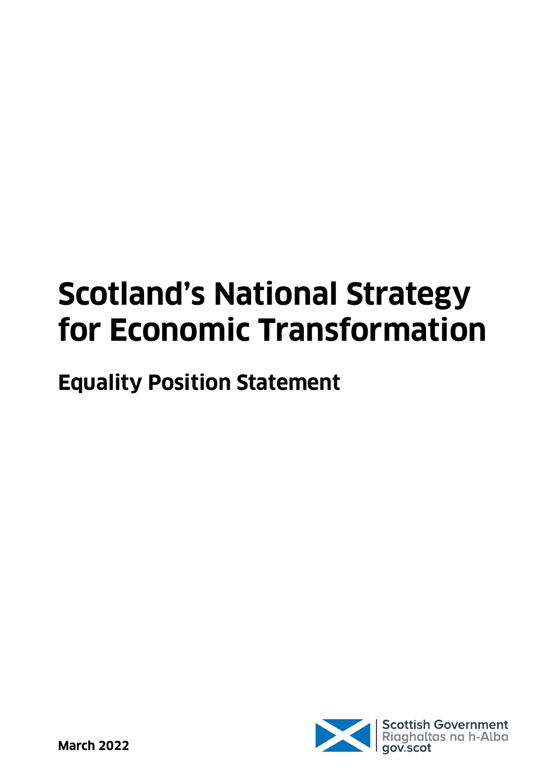# **Scotland's National Strategy for Economic Transformation**

## **Equality Position Statement**

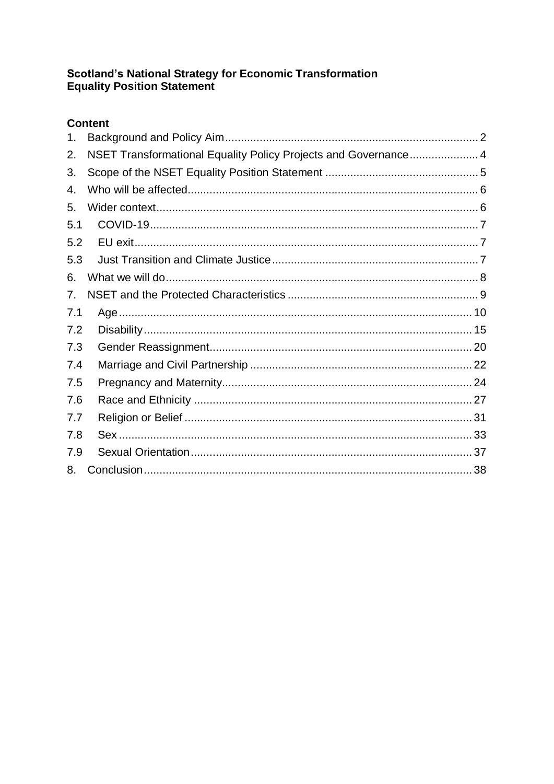## **Scotland's National Strategy for Economic Transformation<br>Equality Position Statement**

#### **Content**

| 1.  |                                                                 |  |
|-----|-----------------------------------------------------------------|--|
| 2.  | NSET Transformational Equality Policy Projects and Governance 4 |  |
| 3.  |                                                                 |  |
| 4.  |                                                                 |  |
| 5.  |                                                                 |  |
| 5.1 |                                                                 |  |
| 5.2 |                                                                 |  |
| 5.3 |                                                                 |  |
| 6.  |                                                                 |  |
| 7.  |                                                                 |  |
| 7.1 |                                                                 |  |
| 7.2 |                                                                 |  |
| 7.3 |                                                                 |  |
| 7.4 |                                                                 |  |
| 7.5 |                                                                 |  |
| 7.6 |                                                                 |  |
| 7.7 |                                                                 |  |
| 7.8 |                                                                 |  |
| 7.9 |                                                                 |  |
| 8.  |                                                                 |  |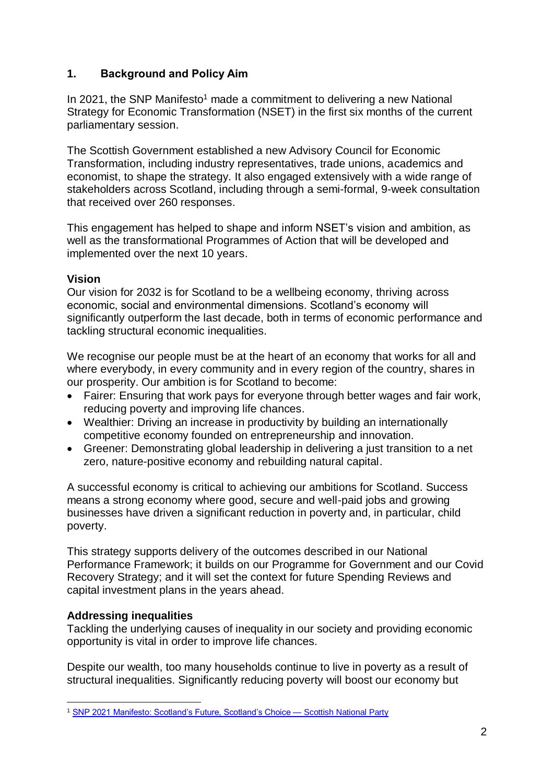#### <span id="page-2-0"></span>**1. Background and Policy Aim**

In 2021, the SNP Manifesto<sup>1</sup> made a commitment to delivering a new National Strategy for Economic Transformation (NSET) in the first six months of the current parliamentary session.

The Scottish Government established a new Advisory Council for Economic Transformation, including industry representatives, trade unions, academics and economist, to shape the strategy. It also engaged extensively with a wide range of stakeholders across Scotland, including through a semi-formal, 9-week consultation that received over 260 responses.

This engagement has helped to shape and inform NSET's vision and ambition, as well as the transformational Programmes of Action that will be developed and implemented over the next 10 years.

#### **Vision**

Our vision for 2032 is for Scotland to be a wellbeing economy, thriving across economic, social and environmental dimensions. Scotland's economy will significantly outperform the last decade, both in terms of economic performance and tackling structural economic inequalities.

We recognise our people must be at the heart of an economy that works for all and where everybody, in every community and in every region of the country, shares in our prosperity. Our ambition is for Scotland to become:

- Fairer: Ensuring that work pays for everyone through better wages and fair work, reducing poverty and improving life chances.
- Wealthier: Driving an increase in productivity by building an internationally competitive economy founded on entrepreneurship and innovation.
- Greener: Demonstrating global leadership in delivering a just transition to a net zero, nature-positive economy and rebuilding natural capital.

A successful economy is critical to achieving our ambitions for Scotland. Success means a strong economy where good, secure and well-paid jobs and growing businesses have driven a significant reduction in poverty and, in particular, child poverty.

This strategy supports delivery of the outcomes described in our National Performance Framework; it builds on our Programme for Government and our Covid Recovery Strategy; and it will set the context for future Spending Reviews and capital investment plans in the years ahead.

#### **Addressing inequalities**

Tackling the underlying causes of inequality in our society and providing economic opportunity is vital in order to improve life chances.

Despite our wealth, too many households continue to live in poverty as a result of structural inequalities. Significantly reducing poverty will boost our economy but

<sup>1</sup> <sup>1</sup> [SNP 2021 Manifesto: Scotland's Future, Scotland's Choice —](https://www.snp.org/manifesto/) Scottish National Party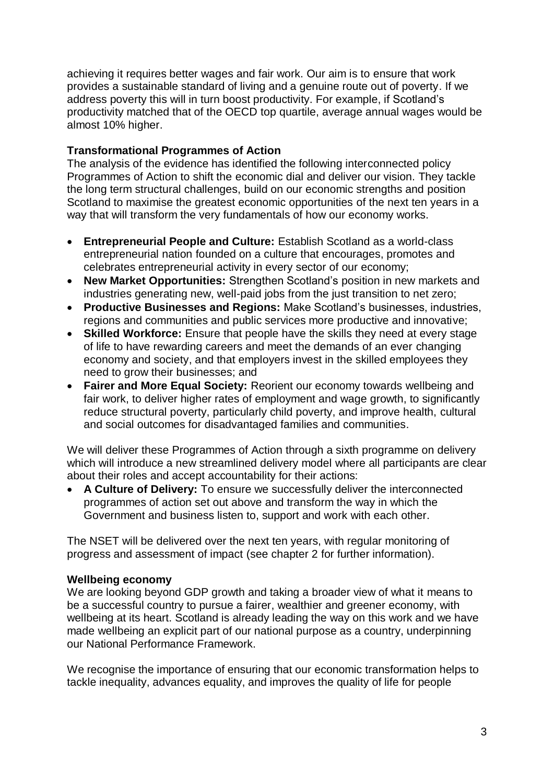achieving it requires better wages and fair work. Our aim is to ensure that work provides a sustainable standard of living and a genuine route out of poverty. If we address poverty this will in turn boost productivity. For example, if Scotland's productivity matched that of the OECD top quartile, average annual wages would be almost 10% higher.

#### **Transformational Programmes of Action**

The analysis of the evidence has identified the following interconnected policy Programmes of Action to shift the economic dial and deliver our vision. They tackle the long term structural challenges, build on our economic strengths and position Scotland to maximise the greatest economic opportunities of the next ten years in a way that will transform the very fundamentals of how our economy works.

- **Entrepreneurial People and Culture:** Establish Scotland as a world-class entrepreneurial nation founded on a culture that encourages, promotes and celebrates entrepreneurial activity in every sector of our economy;
- **New Market Opportunities:** Strengthen Scotland's position in new markets and industries generating new, well-paid jobs from the just transition to net zero;
- **Productive Businesses and Regions:** Make Scotland's businesses, industries, regions and communities and public services more productive and innovative;
- **Skilled Workforce:** Ensure that people have the skills they need at every stage of life to have rewarding careers and meet the demands of an ever changing economy and society, and that employers invest in the skilled employees they need to grow their businesses; and
- **Fairer and More Equal Society:** Reorient our economy towards wellbeing and fair work, to deliver higher rates of employment and wage growth, to significantly reduce structural poverty, particularly child poverty, and improve health, cultural and social outcomes for disadvantaged families and communities.

We will deliver these Programmes of Action through a sixth programme on delivery which will introduce a new streamlined delivery model where all participants are clear about their roles and accept accountability for their actions:

• **A Culture of Delivery:** To ensure we successfully deliver the interconnected programmes of action set out above and transform the way in which the Government and business listen to, support and work with each other.

The NSET will be delivered over the next ten years, with regular monitoring of progress and assessment of impact (see chapter 2 for further information).

#### **Wellbeing economy**

We are looking beyond GDP growth and taking a broader view of what it means to be a successful country to pursue a fairer, wealthier and greener economy, with wellbeing at its heart. Scotland is already leading the way on this work and we have made wellbeing an explicit part of our national purpose as a country, underpinning our National Performance Framework.

We recognise the importance of ensuring that our economic transformation helps to tackle inequality, advances equality, and improves the quality of life for people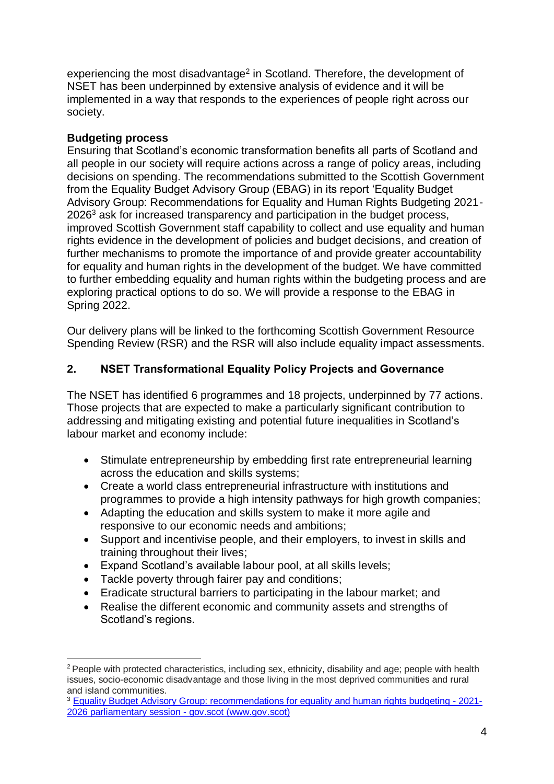experiencing the most disadvantage<sup>2</sup> in Scotland. Therefore, the development of NSET has been underpinned by extensive analysis of evidence and it will be implemented in a way that responds to the experiences of people right across our society.

#### **Budgeting process**

Ensuring that Scotland's economic transformation benefits all parts of Scotland and all people in our society will require actions across a range of policy areas, including decisions on spending. The recommendations submitted to the Scottish Government from the Equality Budget Advisory Group (EBAG) in its report 'Equality Budget Advisory Group: Recommendations for Equality and Human Rights Budgeting 2021- 2026<sup>3</sup> ask for increased transparency and participation in the budget process, improved Scottish Government staff capability to collect and use equality and human rights evidence in the development of policies and budget decisions, and creation of further mechanisms to promote the importance of and provide greater accountability for equality and human rights in the development of the budget. We have committed to further embedding equality and human rights within the budgeting process and are exploring practical options to do so. We will provide a response to the EBAG in Spring 2022.

Our delivery plans will be linked to the forthcoming Scottish Government Resource Spending Review (RSR) and the RSR will also include equality impact assessments.

#### <span id="page-4-0"></span>**2. NSET Transformational Equality Policy Projects and Governance**

The NSET has identified 6 programmes and 18 projects, underpinned by 77 actions. Those projects that are expected to make a particularly significant contribution to addressing and mitigating existing and potential future inequalities in Scotland's labour market and economy include:

- Stimulate entrepreneurship by embedding first rate entrepreneurial learning across the education and skills systems;
- Create a world class entrepreneurial infrastructure with institutions and programmes to provide a high intensity pathways for high growth companies;
- Adapting the education and skills system to make it more agile and responsive to our economic needs and ambitions;
- Support and incentivise people, and their employers, to invest in skills and training throughout their lives;
- Expand Scotland's available labour pool, at all skills levels;
- Tackle poverty through fairer pay and conditions;
- Eradicate structural barriers to participating in the labour market; and
- Realise the different economic and community assets and strengths of Scotland's regions.

<sup>1</sup>  $2$  People with protected characteristics, including sex, ethnicity, disability and age; people with health issues, socio-economic disadvantage and those living in the most deprived communities and rural and island communities.

<sup>3</sup> [Equality Budget Advisory Group: recommendations for equality and human rights budgeting -](https://www.gov.scot/publications/equality-budget-advisory-group-recommendations-for-equality-and-human-rights-budgeting---2021-2026-parliamentary-session/) 2021- [2026 parliamentary session -](https://www.gov.scot/publications/equality-budget-advisory-group-recommendations-for-equality-and-human-rights-budgeting---2021-2026-parliamentary-session/) gov.scot (www.gov.scot)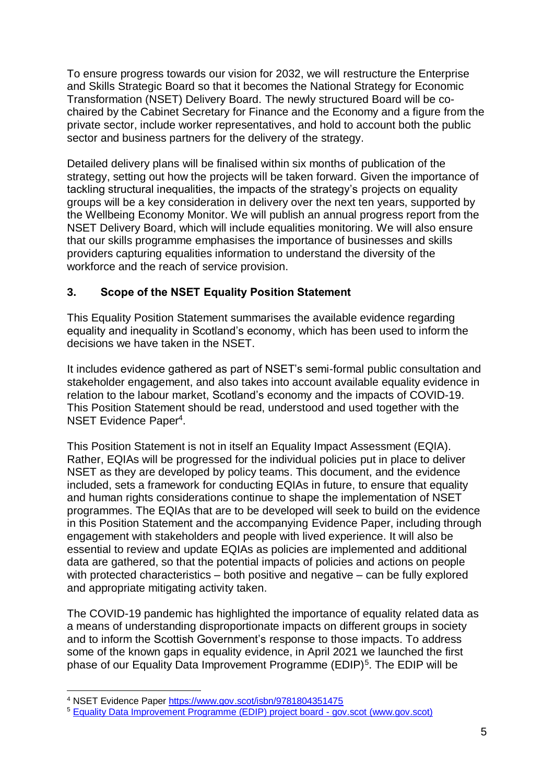To ensure progress towards our vision for 2032, we will restructure the Enterprise and Skills Strategic Board so that it becomes the National Strategy for Economic Transformation (NSET) Delivery Board. The newly structured Board will be cochaired by the Cabinet Secretary for Finance and the Economy and a figure from the private sector, include worker representatives, and hold to account both the public sector and business partners for the delivery of the strategy.

Detailed delivery plans will be finalised within six months of publication of the strategy, setting out how the projects will be taken forward. Given the importance of tackling structural inequalities, the impacts of the strategy's projects on equality groups will be a key consideration in delivery over the next ten years, supported by the Wellbeing Economy Monitor. We will publish an annual progress report from the NSET Delivery Board, which will include equalities monitoring. We will also ensure that our skills programme emphasises the importance of businesses and skills providers capturing equalities information to understand the diversity of the workforce and the reach of service provision.

#### <span id="page-5-0"></span>**3. Scope of the NSET Equality Position Statement**

This Equality Position Statement summarises the available evidence regarding equality and inequality in Scotland's economy, which has been used to inform the decisions we have taken in the NSET.

It includes evidence gathered as part of NSET's semi-formal public consultation and stakeholder engagement, and also takes into account available equality evidence in relation to the labour market, Scotland's economy and the impacts of COVID-19. This Position Statement should be read, understood and used together with the NSET Evidence Paper<sup>4</sup>.

This Position Statement is not in itself an Equality Impact Assessment (EQIA). Rather, EQIAs will be progressed for the individual policies put in place to deliver NSET as they are developed by policy teams. This document, and the evidence included, sets a framework for conducting EQIAs in future, to ensure that equality and human rights considerations continue to shape the implementation of NSET programmes. The EQIAs that are to be developed will seek to build on the evidence in this Position Statement and the accompanying Evidence Paper, including through engagement with stakeholders and people with lived experience. It will also be essential to review and update EQIAs as policies are implemented and additional data are gathered, so that the potential impacts of policies and actions on people with protected characteristics – both positive and negative – can be fully explored and appropriate mitigating activity taken.

The COVID-19 pandemic has highlighted the importance of equality related data as a means of understanding disproportionate impacts on different groups in society and to inform the Scottish Government's response to those impacts. To address some of the known gaps in equality evidence, in April 2021 we launched the first phase of our Equality Data Improvement Programme (EDIP)<sup>5</sup>. The EDIP will be

<sup>1</sup> <sup>4</sup> NSET Evidence Paper <https://www.gov.scot/isbn/9781804351475>

<sup>5</sup> [Equality Data Improvement Programme \(EDIP\) project board -](https://www.gov.scot/groups/equality-data-improvement-programme-edip-group/) gov.scot (www.gov.scot)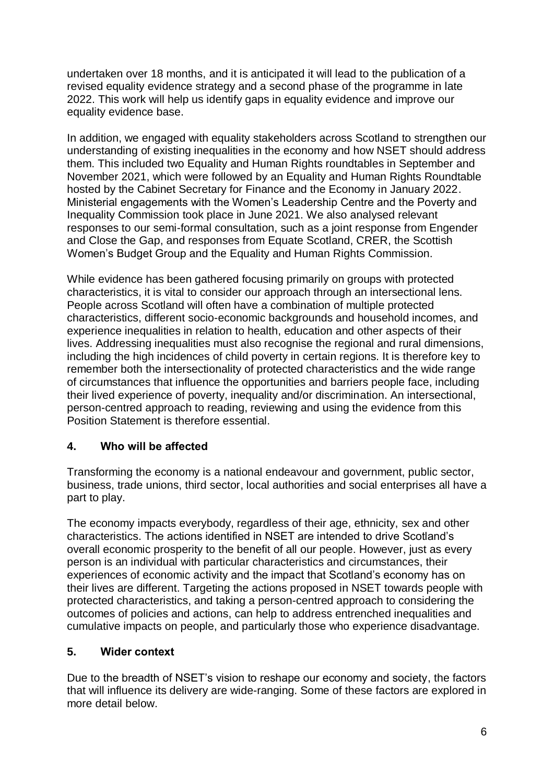undertaken over 18 months, and it is anticipated it will lead to the publication of a revised equality evidence strategy and a second phase of the programme in late 2022. This work will help us identify gaps in equality evidence and improve our equality evidence base.

In addition, we engaged with equality stakeholders across Scotland to strengthen our understanding of existing inequalities in the economy and how NSET should address them. This included two Equality and Human Rights roundtables in September and November 2021, which were followed by an Equality and Human Rights Roundtable hosted by the Cabinet Secretary for Finance and the Economy in January 2022. Ministerial engagements with the Women's Leadership Centre and the Poverty and Inequality Commission took place in June 2021. We also analysed relevant responses to our semi-formal consultation, such as a joint response from Engender and Close the Gap, and responses from Equate Scotland, CRER, the Scottish Women's Budget Group and the Equality and Human Rights Commission.

While evidence has been gathered focusing primarily on groups with protected characteristics, it is vital to consider our approach through an intersectional lens. People across Scotland will often have a combination of multiple protected characteristics, different socio-economic backgrounds and household incomes, and experience inequalities in relation to health, education and other aspects of their lives. Addressing inequalities must also recognise the regional and rural dimensions, including the high incidences of child poverty in certain regions. It is therefore key to remember both the intersectionality of protected characteristics and the wide range of circumstances that influence the opportunities and barriers people face, including their lived experience of poverty, inequality and/or discrimination. An intersectional, person-centred approach to reading, reviewing and using the evidence from this Position Statement is therefore essential.

#### <span id="page-6-0"></span>**4. Who will be affected**

Transforming the economy is a national endeavour and government, public sector, business, trade unions, third sector, local authorities and social enterprises all have a part to play.

The economy impacts everybody, regardless of their age, ethnicity, sex and other characteristics. The actions identified in NSET are intended to drive Scotland's overall economic prosperity to the benefit of all our people. However, just as every person is an individual with particular characteristics and circumstances, their experiences of economic activity and the impact that Scotland's economy has on their lives are different. Targeting the actions proposed in NSET towards people with protected characteristics, and taking a person-centred approach to considering the outcomes of policies and actions, can help to address entrenched inequalities and cumulative impacts on people, and particularly those who experience disadvantage.

#### <span id="page-6-1"></span>**5. Wider context**

<span id="page-6-2"></span>Due to the breadth of NSET's vision to reshape our economy and society, the factors that will influence its delivery are wide-ranging. Some of these factors are explored in more detail below.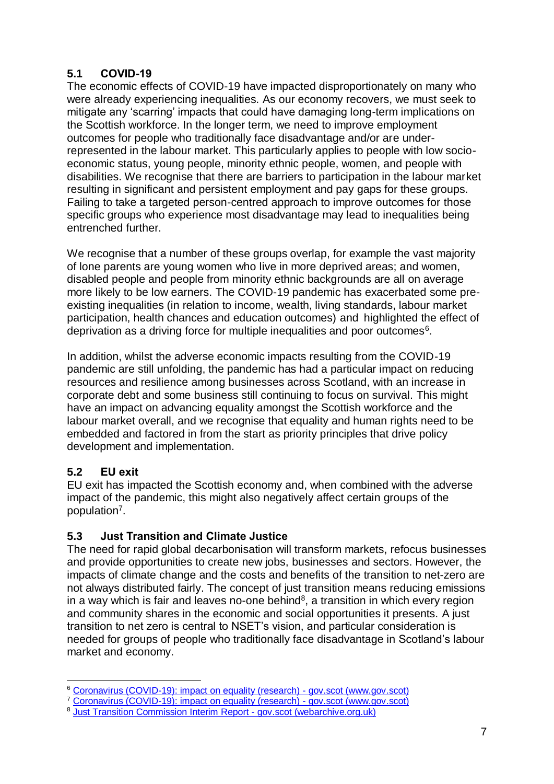#### **5.1 COVID-19**

The economic effects of COVID-19 have impacted disproportionately on many who were already experiencing inequalities. As our economy recovers, we must seek to mitigate any 'scarring' impacts that could have damaging long-term implications on the Scottish workforce. In the longer term, we need to improve employment outcomes for people who traditionally face disadvantage and/or are underrepresented in the labour market. This particularly applies to people with low socioeconomic status, young people, minority ethnic people, women, and people with disabilities. We recognise that there are barriers to participation in the labour market resulting in significant and persistent employment and pay gaps for these groups. Failing to take a targeted person-centred approach to improve outcomes for those specific groups who experience most disadvantage may lead to inequalities being entrenched further.

We recognise that a number of these groups overlap, for example the vast majority of lone parents are young women who live in more deprived areas; and women, disabled people and people from minority ethnic backgrounds are all on average more likely to be low earners. The COVID-19 pandemic has exacerbated some preexisting inequalities (in relation to income, wealth, living standards, labour market participation, health chances and education outcomes) and highlighted the effect of deprivation as a driving force for multiple inequalities and poor outcomes $6$ .

In addition, whilst the adverse economic impacts resulting from the COVID-19 pandemic are still unfolding, the pandemic has had a particular impact on reducing resources and resilience among businesses across Scotland, with an increase in corporate debt and some business still continuing to focus on survival. This might have an impact on advancing equality amongst the Scottish workforce and the labour market overall, and we recognise that equality and human rights need to be embedded and factored in from the start as priority principles that drive policy development and implementation.

#### <span id="page-7-0"></span>**5.2 EU exit**

1

EU exit has impacted the Scottish economy and, when combined with the adverse impact of the pandemic, this might also negatively affect certain groups of the population<sup>7</sup>.

#### <span id="page-7-1"></span>**5.3 Just Transition and Climate Justice**

The need for rapid global decarbonisation will transform markets, refocus businesses and provide opportunities to create new jobs, businesses and sectors. However, the impacts of climate change and the costs and benefits of the transition to net-zero are not always distributed fairly. The concept of just transition means reducing emissions in a way which is fair and leaves no-one behind<sup>8</sup>, a transition in which every region and community shares in the economic and social opportunities it presents. A just transition to net zero is central to NSET's vision, and particular consideration is needed for groups of people who traditionally face disadvantage in Scotland's labour market and economy.

<sup>&</sup>lt;sup>6</sup> [Coronavirus \(COVID-19\): impact on equality \(research\) -](https://www.gov.scot/publications/the-impacts-of-covid-19-on-equality-in-scotland/) gov.scot (www.gov.scot)

<sup>&</sup>lt;sup>7</sup> [Coronavirus \(COVID-19\): impact on equality \(research\) -](https://www.gov.scot/publications/the-impacts-of-covid-19-on-equality-in-scotland/) gov.scot (www.gov.scot)

<sup>&</sup>lt;sup>8</sup> [Just Transition Commission Interim Report -](https://www.webarchive.org.uk/wayback/archive/20210529112742/https:/www.gov.scot/publications/transition-commission-interim-report/) gov.scot (webarchive.org.uk)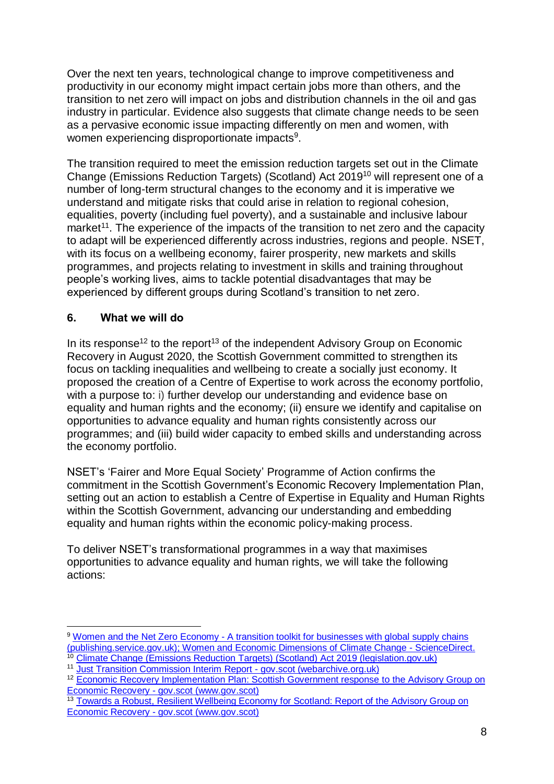Over the next ten years, technological change to improve competitiveness and productivity in our economy might impact certain jobs more than others, and the transition to net zero will impact on jobs and distribution channels in the oil and gas industry in particular. Evidence also suggests that climate change needs to be seen as a pervasive economic issue impacting differently on men and women, with women experiencing disproportionate impacts<sup>9</sup>.

The transition required to meet the emission reduction targets set out in the Climate Change (Emissions Reduction Targets) (Scotland) Act 2019<sup>10</sup> will represent one of a number of long-term structural changes to the economy and it is imperative we understand and mitigate risks that could arise in relation to regional cohesion, equalities, poverty (including fuel poverty), and a sustainable and inclusive labour market<sup>11</sup>. The experience of the impacts of the transition to net zero and the capacity to adapt will be experienced differently across industries, regions and people. NSET, with its focus on a wellbeing economy, fairer prosperity, new markets and skills programmes, and projects relating to investment in skills and training throughout people's working lives, aims to tackle potential disadvantages that may be experienced by different groups during Scotland's transition to net zero.

#### <span id="page-8-0"></span>**6. What we will do**

In its response<sup>12</sup> to the report<sup>13</sup> of the independent Advisory Group on Economic Recovery in August 2020, the Scottish Government committed to strengthen its focus on tackling inequalities and wellbeing to create a socially just economy. It proposed the creation of a Centre of Expertise to work across the economy portfolio, with a purpose to: i) further develop our understanding and evidence base on equality and human rights and the economy; (ii) ensure we identify and capitalise on opportunities to advance equality and human rights consistently across our programmes; and (iii) build wider capacity to embed skills and understanding across the economy portfolio.

NSET's 'Fairer and More Equal Society' Programme of Action confirms the commitment in the Scottish Government's Economic Recovery Implementation Plan, setting out an action to establish a Centre of Expertise in Equality and Human Rights within the Scottish Government, advancing our understanding and embedding equality and human rights within the economic policy-making process.

To deliver NSET's transformational programmes in a way that maximises opportunities to advance equality and human rights, we will take the following actions:

<sup>&</sup>lt;u>.</u> <sup>9</sup> Women and the Net Zero Economy - [A transition toolkit for businesses with global supply chains](https://assets.publishing.service.gov.uk/government/uploads/system/uploads/attachment_data/file/1031763/Women-Net-Zero-Economy-toolkit-businesses2.pdf)  [\(publishing.service.gov.uk\);](https://assets.publishing.service.gov.uk/government/uploads/system/uploads/attachment_data/file/1031763/Women-Net-Zero-Economy-toolkit-businesses2.pdf) [Women and Economic Dimensions of Climate Change -](https://www.sciencedirect.com/science/article/pii/B9780128174654000066) ScienceDirect.

<sup>&</sup>lt;sup>10</sup> Climate Change (Emissions Reduction [Targets\) \(Scotland\) Act 2019 \(legislation.gov.uk\)](https://www.legislation.gov.uk/asp/2019/15/enacted)

<sup>&</sup>lt;sup>11</sup> [Just Transition Commission Interim Report -](https://www.webarchive.org.uk/wayback/archive/20210529112742/https:/www.gov.scot/publications/transition-commission-interim-report/) gov.scot (webarchive.org.uk)

<sup>&</sup>lt;sup>12</sup> [Economic Recovery Implementation Plan: Scottish Government response](https://www.gov.scot/publications/economic-recovery-implementation-plan-scottish-government-response-to-the-advisory-group-on-economic-recovery/pages/2/) to the Advisory Group on Economic Recovery - [gov.scot \(www.gov.scot\)](https://www.gov.scot/publications/economic-recovery-implementation-plan-scottish-government-response-to-the-advisory-group-on-economic-recovery/pages/2/)

<sup>&</sup>lt;sup>13</sup> Towards a Robust, Resilient Wellbeing Economy for Scotland: Report of the Advisory Group on Economic Recovery - [gov.scot \(www.gov.scot\)](https://www.gov.scot/publications/towards-robust-resilient-wellbeing-economy-scotland-report-advisory-group-economic-recovery/)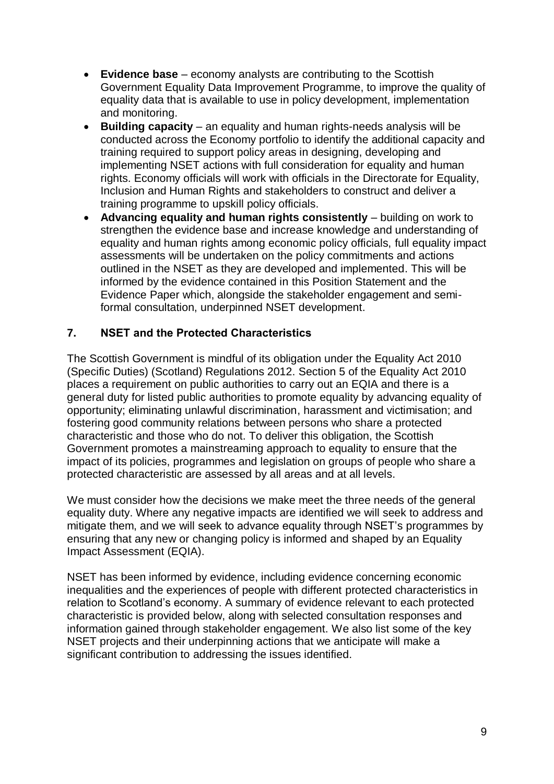- **Evidence base** economy analysts are contributing to the Scottish Government Equality Data Improvement Programme, to improve the quality of equality data that is available to use in policy development, implementation and monitoring.
- **Building capacity** an equality and human rights-needs analysis will be conducted across the Economy portfolio to identify the additional capacity and training required to support policy areas in designing, developing and implementing NSET actions with full consideration for equality and human rights. Economy officials will work with officials in the Directorate for Equality, Inclusion and Human Rights and stakeholders to construct and deliver a training programme to upskill policy officials.
- **Advancing equality and human rights consistently**  building on work to strengthen the evidence base and increase knowledge and understanding of equality and human rights among economic policy officials, full equality impact assessments will be undertaken on the policy commitments and actions outlined in the NSET as they are developed and implemented. This will be informed by the evidence contained in this Position Statement and the Evidence Paper which, alongside the stakeholder engagement and semiformal consultation, underpinned NSET development.

#### <span id="page-9-0"></span>**7. NSET and the Protected Characteristics**

The Scottish Government is mindful of its obligation under the Equality Act 2010 (Specific Duties) (Scotland) Regulations 2012. Section 5 of the Equality Act 2010 places a requirement on public authorities to carry out an EQIA and there is a general duty for listed public authorities to promote equality by advancing equality of opportunity; eliminating unlawful discrimination, harassment and victimisation; and fostering good community relations between persons who share a protected characteristic and those who do not. To deliver this obligation, the Scottish Government promotes a mainstreaming approach to equality to ensure that the impact of its policies, programmes and legislation on groups of people who share a protected characteristic are assessed by all areas and at all levels.

We must consider how the decisions we make meet the three needs of the general equality duty. Where any negative impacts are identified we will seek to address and mitigate them, and we will seek to advance equality through NSET's programmes by ensuring that any new or changing policy is informed and shaped by an Equality Impact Assessment (EQIA).

<span id="page-9-1"></span>NSET has been informed by evidence, including evidence concerning economic inequalities and the experiences of people with different protected characteristics in relation to Scotland's economy. A summary of evidence relevant to each protected characteristic is provided below, along with selected consultation responses and information gained through stakeholder engagement. We also list some of the key NSET projects and their underpinning actions that we anticipate will make a significant contribution to addressing the issues identified.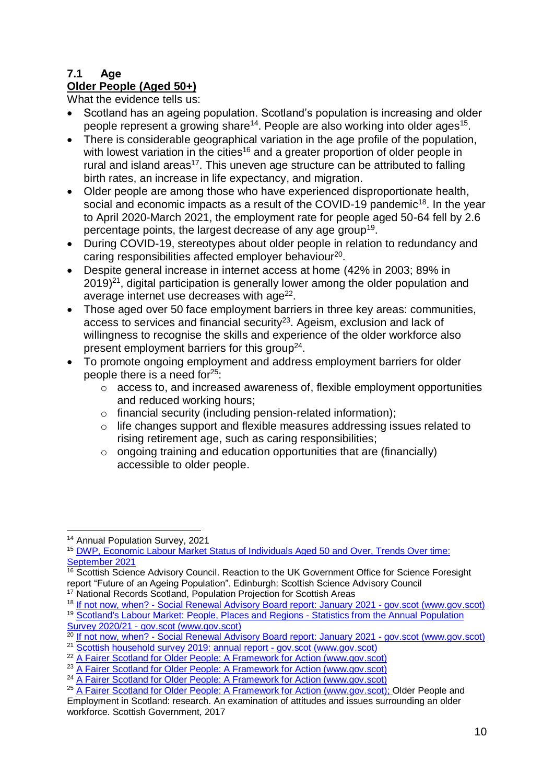#### **7.1 Age**

#### **Older People (Aged 50+)**

What the evidence tells us:

- Scotland has an ageing population. Scotland's population is increasing and older people represent a growing share<sup>14</sup>. People are also working into older ages<sup>15</sup>.
- There is considerable geographical variation in the age profile of the population, with lowest variation in the cities<sup>16</sup> and a greater proportion of older people in rural and island areas<sup>17</sup>. This uneven age structure can be attributed to falling birth rates, an increase in life expectancy, and migration.
- Older people are among those who have experienced disproportionate health, social and economic impacts as a result of the COVID-19 pandemic<sup>18</sup>. In the year to April 2020-March 2021, the employment rate for people aged 50-64 fell by 2.6 percentage points, the largest decrease of any age group<sup>19</sup>.
- During COVID-19, stereotypes about older people in relation to redundancy and caring responsibilities affected employer behaviour<sup>20</sup>.
- Despite general increase in internet access at home (42% in 2003; 89% in  $2019)$ <sup>21</sup>, digital participation is generally lower among the older population and average internet use decreases with age<sup>22</sup>.
- Those aged over 50 face employment barriers in three key areas: communities, access to services and financial security<sup>23</sup>. Ageism, exclusion and lack of willingness to recognise the skills and experience of the older workforce also present employment barriers for this group<sup>24</sup>.
- To promote ongoing employment and address employment barriers for older people there is a need for $25$ :
	- o access to, and increased awareness of, flexible employment opportunities and reduced working hours;
	- o financial security (including pension-related information);
	- o life changes support and flexible measures addressing issues related to rising retirement age, such as caring responsibilities;
	- $\circ$  ongoing training and education opportunities that are (financially) accessible to older people.

<sup>&</sup>lt;u>.</u> <sup>14</sup> Annual Population Survey, 2021

<sup>15</sup> DWP, Economic [Labour Market Status of Individuals Aged 50 and Over, Trends Over time:](https://www.gov.uk/government/statistics/economic-labour-market-status-of-individuals-aged-50-and-over-trends-over-time-september-2021/economic-labour-market-status-of-individuals-aged-50-and-over-trends-over-time-september-2021)  [September 2021](https://www.gov.uk/government/statistics/economic-labour-market-status-of-individuals-aged-50-and-over-trends-over-time-september-2021/economic-labour-market-status-of-individuals-aged-50-and-over-trends-over-time-september-2021)

<sup>&</sup>lt;sup>16</sup> Scottish Science Advisory Council. Reaction to the UK Government Office for Science Foresight report "Future of an Ageing Population". Edinburgh: Scottish Science Advisory Council

<sup>&</sup>lt;sup>17</sup> National Records Scotland, Population Projection for Scottish Areas

<sup>&</sup>lt;sup>18</sup> If not now, when? - [Social Renewal Advisory Board report: January 2021 -](https://www.gov.scot/publications/not-now-social-renewal-advisory-board-report-january-2021/) gov.scot (www.gov.scot)

<sup>&</sup>lt;sup>19</sup> [Scotland's Labour Market: People, Places and Regions -](https://www.gov.scot/publications/scotlands-labour-market-people-places-regions-statistics-annual-population-survey-2020-21/pages/4/) Statistics from the Annual Population Survey 2020/21 - [gov.scot \(www.gov.scot\)](https://www.gov.scot/publications/scotlands-labour-market-people-places-regions-statistics-annual-population-survey-2020-21/pages/4/)

<sup>&</sup>lt;sup>20</sup> If not now, when? - [Social Renewal Advisory Board report: January 2021 -](https://www.gov.scot/publications/not-now-social-renewal-advisory-board-report-january-2021/) gov.scot (www.gov.scot)

<sup>21</sup> [Scottish household survey 2019: annual report -](https://www.gov.scot/publications/scottish-household-survey-2019-annual-report/) gov.scot (www.gov.scot)

<sup>&</sup>lt;sup>22</sup> [A Fairer Scotland for Older People: A Framework for Action \(www.gov.scot\)](https://www.gov.scot/binaries/content/documents/govscot/publications/strategy-plan/2019/04/fairer-scotland-older-people-framework-action/documents/fairer-scotland-older-people-framework-action/fairer-scotland-older-people-framework-action/govscot%3Adocument/fairer-scotland-older-people-framework-action.pdf)

<sup>&</sup>lt;sup>23</sup> [A Fairer Scotland for Older People: A Framework for Action \(www.gov.scot\)](https://www.gov.scot/binaries/content/documents/govscot/publications/strategy-plan/2019/04/fairer-scotland-older-people-framework-action/documents/fairer-scotland-older-people-framework-action/fairer-scotland-older-people-framework-action/govscot%3Adocument/fairer-scotland-older-people-framework-action.pdf)

<sup>24</sup> [A Fairer Scotland for Older People: A Framework for Action \(www.gov.scot\)](https://www.gov.scot/binaries/content/documents/govscot/publications/strategy-plan/2019/04/fairer-scotland-older-people-framework-action/documents/fairer-scotland-older-people-framework-action/fairer-scotland-older-people-framework-action/govscot%3Adocument/fairer-scotland-older-people-framework-action.pdf)

<sup>&</sup>lt;sup>25</sup> [A Fairer Scotland for Older People: A Framework for Action \(www.gov.scot\);](https://www.gov.scot/binaries/content/documents/govscot/publications/strategy-plan/2019/04/fairer-scotland-older-people-framework-action/documents/fairer-scotland-older-people-framework-action/fairer-scotland-older-people-framework-action/govscot%3Adocument/fairer-scotland-older-people-framework-action.pdf) Older People and Employment in Scotland: research. An examination of attitudes and issues surrounding an older workforce. Scottish Government, 2017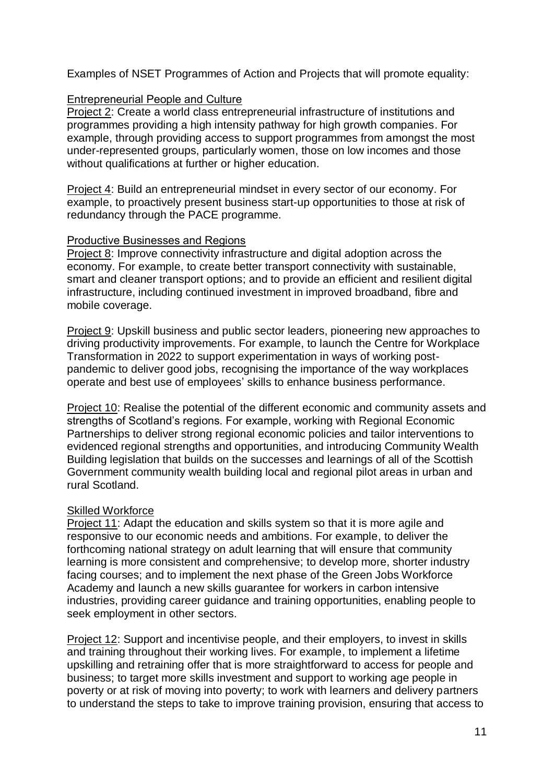Examples of NSET Programmes of Action and Projects that will promote equality:

#### Entrepreneurial People and Culture

Project 2: Create a world class entrepreneurial infrastructure of institutions and programmes providing a high intensity pathway for high growth companies. For example, through providing access to support programmes from amongst the most under-represented groups, particularly women, those on low incomes and those without qualifications at further or higher education.

Project 4: Build an entrepreneurial mindset in every sector of our economy. For example, to proactively present business start-up opportunities to those at risk of redundancy through the PACE programme.

#### Productive Businesses and Regions

Project 8: Improve connectivity infrastructure and digital adoption across the economy. For example, to create better transport connectivity with sustainable, smart and cleaner transport options; and to provide an efficient and resilient digital infrastructure, including continued investment in improved broadband, fibre and mobile coverage.

Project 9: Upskill business and public sector leaders, pioneering new approaches to driving productivity improvements. For example, to launch the Centre for Workplace Transformation in 2022 to support experimentation in ways of working postpandemic to deliver good jobs, recognising the importance of the way workplaces operate and best use of employees' skills to enhance business performance.

Project 10: Realise the potential of the different economic and community assets and strengths of Scotland's regions. For example, working with Regional Economic Partnerships to deliver strong regional economic policies and tailor interventions to evidenced regional strengths and opportunities, and introducing Community Wealth Building legislation that builds on the successes and learnings of all of the Scottish Government community wealth building local and regional pilot areas in urban and rural Scotland.

#### Skilled Workforce

Project 11: Adapt the education and skills system so that it is more agile and responsive to our economic needs and ambitions. For example, to deliver the forthcoming national strategy on adult learning that will ensure that community learning is more consistent and comprehensive; to develop more, shorter industry facing courses; and to implement the next phase of the Green Jobs Workforce Academy and launch a new skills guarantee for workers in carbon intensive industries, providing career guidance and training opportunities, enabling people to seek employment in other sectors.

Project 12: Support and incentivise people, and their employers, to invest in skills and training throughout their working lives. For example, to implement a lifetime upskilling and retraining offer that is more straightforward to access for people and business; to target more skills investment and support to working age people in poverty or at risk of moving into poverty; to work with learners and delivery partners to understand the steps to take to improve training provision, ensuring that access to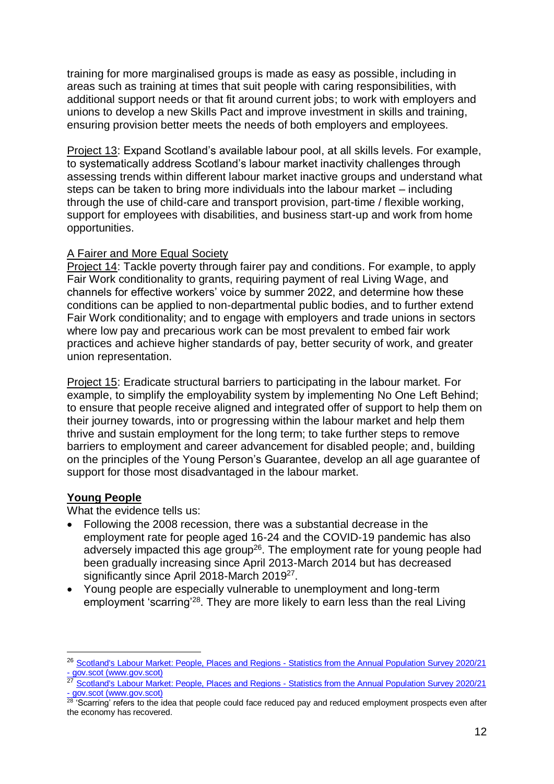training for more marginalised groups is made as easy as possible, including in areas such as training at times that suit people with caring responsibilities, with additional support needs or that fit around current jobs; to work with employers and unions to develop a new Skills Pact and improve investment in skills and training, ensuring provision better meets the needs of both employers and employees.

Project 13: Expand Scotland's available labour pool, at all skills levels. For example, to systematically address Scotland's labour market inactivity challenges through assessing trends within different labour market inactive groups and understand what steps can be taken to bring more individuals into the labour market – including through the use of child-care and transport provision, part-time / flexible working, support for employees with disabilities, and business start-up and work from home opportunities.

#### A Fairer and More Equal Society

Project 14: Tackle poverty through fairer pay and conditions. For example, to apply Fair Work conditionality to grants, requiring payment of real Living Wage, and channels for effective workers' voice by summer 2022, and determine how these conditions can be applied to non-departmental public bodies, and to further extend Fair Work conditionality; and to engage with employers and trade unions in sectors where low pay and precarious work can be most prevalent to embed fair work practices and achieve higher standards of pay, better security of work, and greater union representation.

Project 15: Eradicate structural barriers to participating in the labour market. For example, to simplify the employability system by implementing No One Left Behind; to ensure that people receive aligned and integrated offer of support to help them on their journey towards, into or progressing within the labour market and help them thrive and sustain employment for the long term; to take further steps to remove barriers to employment and career advancement for disabled people; and, building on the principles of the Young Person's Guarantee, develop an all age guarantee of support for those most disadvantaged in the labour market.

#### **Young People**

1

What the evidence tells us:

- Following the 2008 recession, there was a substantial decrease in the employment rate for people aged 16-24 and the COVID-19 pandemic has also adversely impacted this age group<sup>26</sup>. The employment rate for young people had been gradually increasing since April 2013-March 2014 but has decreased significantly since April 2018-March 2019<sup>27</sup>.
- Young people are especially vulnerable to unemployment and long-term employment 'scarring'<sup>28</sup>. They are more likely to earn less than the real Living

<sup>&</sup>lt;sup>26</sup> [Scotland's Labour Market: People, Places and Regions -](https://www.gov.scot/publications/scotlands-labour-market-people-places-regions-statistics-annual-population-survey-2020-21/pages/5/) Statistics from the Annual Population Survey 2020/21 - [gov.scot \(www.gov.scot\)](https://www.gov.scot/publications/scotlands-labour-market-people-places-regions-statistics-annual-population-survey-2020-21/pages/5/)

<sup>27</sup> [Scotland's Labour Market: People, Places and Regions -](https://www.gov.scot/publications/scotlands-labour-market-people-places-regions-statistics-annual-population-survey-2020-21/pages/5/) Statistics from the Annual Population Survey 2020/21 - [gov.scot \(www.gov.scot\)](https://www.gov.scot/publications/scotlands-labour-market-people-places-regions-statistics-annual-population-survey-2020-21/pages/5/)

<sup>28 &#</sup>x27;Scarring' refers to the idea that people could face reduced pay and reduced employment prospects even after the economy has recovered.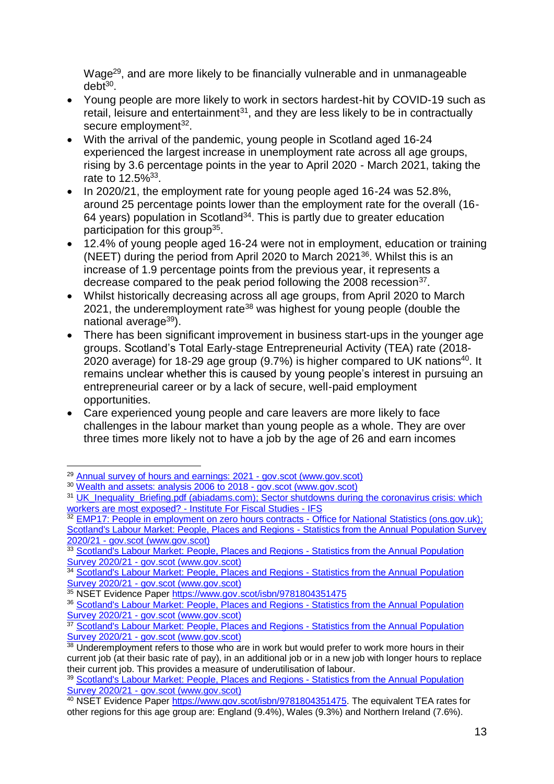Wage<sup>29</sup>, and are more likely to be financially vulnerable and in unmanageable debt<sup>30</sup>.

- Young people are more likely to work in sectors hardest-hit by COVID-19 such as retail, leisure and entertainment $31$ , and they are less likely to be in contractually secure employment<sup>32</sup>.
- With the arrival of the pandemic, young people in Scotland aged 16-24 experienced the largest increase in unemployment rate across all age groups, rising by 3.6 percentage points in the year to April 2020 - March 2021, taking the rate to  $12.5\%^{33}$ .
- In 2020/21, the employment rate for young people aged 16-24 was 52.8%, around 25 percentage points lower than the employment rate for the overall (16- 64 years) population in Scotland<sup>34</sup>. This is partly due to greater education participation for this group<sup>35</sup>.
- 12.4% of young people aged 16-24 were not in employment, education or training (NEET) during the period from April 2020 to March 2021 $36$ . Whilst this is an increase of 1.9 percentage points from the previous year, it represents a decrease compared to the peak period following the 2008 recession<sup>37</sup>.
- Whilst historically decreasing across all age groups, from April 2020 to March 2021, the underemployment rate<sup>38</sup> was highest for young people (double the national average<sup>39</sup>).
- There has been significant improvement in business start-ups in the younger age groups. Scotland's Total Early-stage Entrepreneurial Activity (TEA) rate (2018- 2020 average) for 18-29 age group (9.7%) is higher compared to UK nations<sup>40</sup>. It remains unclear whether this is caused by young people's interest in pursuing an entrepreneurial career or by a lack of secure, well-paid employment opportunities.
- Care experienced young people and care leavers are more likely to face challenges in the labour market than young people as a whole. They are over three times more likely not to have a job by the age of 26 and earn incomes

1

<sup>&</sup>lt;sup>29</sup> [Annual survey of hours and earnings: 2021 -](https://www.gov.scot/publications/annual-survey-of-hours-and-earnings-2021/) gov.scot (www.gov.scot)

<sup>30</sup> [Wealth and assets: analysis 2006 to 2018 -](https://www.gov.scot/publications/wealth-and-assets-in-scotland-2006-2018/) gov.scot (www.gov.scot)

<sup>&</sup>lt;sup>31</sup> [UK\\_Inequality\\_Briefing.pdf \(abiadams.com\);](https://abiadams.com/wp-content/uploads/2020/04/UK_Inequality_Briefing.pdf) Sector shutdowns during the coronavirus crisis: which [workers are most exposed? -](https://www.ifs.org.uk/publications/14791) Institute For Fiscal Studies - IFS

<sup>&</sup>lt;sup>32</sup> [EMP17: People in employment on zero hours contracts -](https://www.ons.gov.uk/employmentandlabourmarket/peopleinwork/employmentandemployeetypes/datasets/emp17peopleinemploymentonzerohourscontracts) Office for National Statistics (ons.gov.uk); [Scotland's Labour Market: People, Places and Regions -](https://www.gov.scot/publications/scotlands-labour-market-people-places-regions-statistics-annual-population-survey-2020-21/pages/5/) Statistics from the Annual Population Survey 2020/21 - [gov.scot \(www.gov.scot\)](https://www.gov.scot/publications/scotlands-labour-market-people-places-regions-statistics-annual-population-survey-2020-21/pages/5/)

<sup>33</sup> [Scotland's Labour Market: People, Places and Regions -](https://www.gov.scot/publications/scotlands-labour-market-people-places-regions-statistics-annual-population-survey-2020-21/pages/7/) Statistics from the Annual Population Survey 2020/21 - [gov.scot \(www.gov.scot\)](https://www.gov.scot/publications/scotlands-labour-market-people-places-regions-statistics-annual-population-survey-2020-21/pages/7/)

<sup>&</sup>lt;sup>34</sup> [Scotland's Labour Market: People, Places and Regions -](https://www.gov.scot/publications/scotlands-labour-market-people-places-regions-statistics-annual-population-survey-2020-21/) Statistics from the Annual Population Survey 2020/21 - [gov.scot \(www.gov.scot\)](https://www.gov.scot/publications/scotlands-labour-market-people-places-regions-statistics-annual-population-survey-2020-21/)

<sup>&</sup>lt;sup>35</sup> NSET Evidence Paper <https://www.gov.scot/isbn/9781804351475>

<sup>36</sup> [Scotland's Labour Market: People, Places and Regions -](https://www.gov.scot/publications/scotlands-labour-market-people-places-regions-statistics-annual-population-survey-2020-21/) Statistics from the Annual Population Survey 2020/21 - [gov.scot \(www.gov.scot\)](https://www.gov.scot/publications/scotlands-labour-market-people-places-regions-statistics-annual-population-survey-2020-21/)

<sup>&</sup>lt;sup>37</sup> [Scotland's Labour Market: People, Places and Regions -](https://www.gov.scot/publications/scotlands-labour-market-people-places-regions-statistics-annual-population-survey-2020-21/pages/7/) Statistics from the Annual Population Survey 2020/21 - [gov.scot \(www.gov.scot\)](https://www.gov.scot/publications/scotlands-labour-market-people-places-regions-statistics-annual-population-survey-2020-21/pages/7/)

<sup>&</sup>lt;sup>38</sup> Underemployment refers to those who are in work but would prefer to work more hours in their current job (at their basic rate of pay), in an additional job or in a new job with longer hours to replace their current job. This provides a measure of underutilisation of labour.

<sup>&</sup>lt;sup>39</sup> [Scotland's Labour Market: People, Places and Regions -](https://www.gov.scot/publications/scotlands-labour-market-people-places-regions-statistics-annual-population-survey-2020-21/pages/5/) Statistics from the Annual Population Survey 2020/21 - [gov.scot \(www.gov.scot\)](https://www.gov.scot/publications/scotlands-labour-market-people-places-regions-statistics-annual-population-survey-2020-21/pages/5/)

<sup>&</sup>lt;sup>40</sup> NSET Evidence Paper [https://www.gov.scot/isbn/9781804351475.](https://www.gov.scot/isbn/9781804351475) The equivalent TEA rates for other regions for this age group are: England (9.4%), Wales (9.3%) and Northern Ireland (7.6%).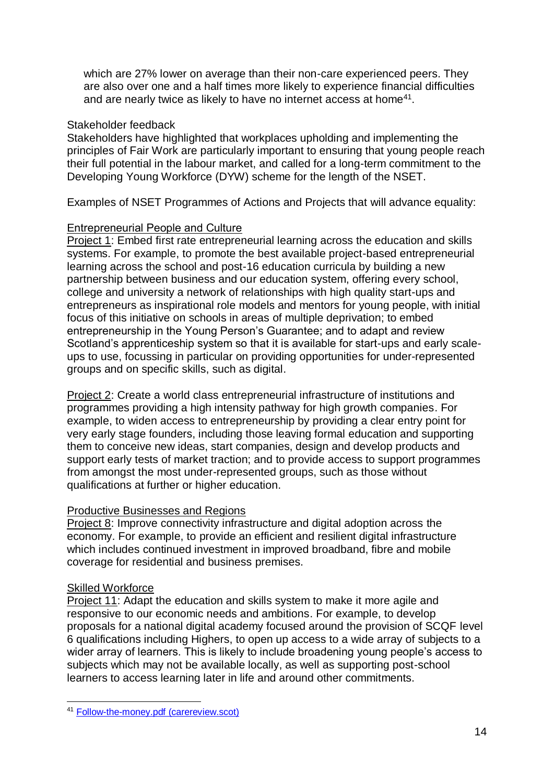which are 27% lower on average than their non-care experienced peers. They are also over one and a half times more likely to experience financial difficulties and are nearly twice as likely to have no internet access at home $41$ .

#### Stakeholder feedback

Stakeholders have highlighted that workplaces upholding and implementing the principles of Fair Work are particularly important to ensuring that young people reach their full potential in the labour market, and called for a long-term commitment to the Developing Young Workforce (DYW) scheme for the length of the NSET.

Examples of NSET Programmes of Actions and Projects that will advance equality:

#### Entrepreneurial People and Culture

Project 1: Embed first rate entrepreneurial learning across the education and skills systems. For example, to promote the best available project-based entrepreneurial learning across the school and post-16 education curricula by building a new partnership between business and our education system, offering every school, college and university a network of relationships with high quality start-ups and entrepreneurs as inspirational role models and mentors for young people, with initial focus of this initiative on schools in areas of multiple deprivation; to embed entrepreneurship in the Young Person's Guarantee; and to adapt and review Scotland's apprenticeship system so that it is available for start-ups and early scaleups to use, focussing in particular on providing opportunities for under-represented groups and on specific skills, such as digital.

Project 2: Create a world class entrepreneurial infrastructure of institutions and programmes providing a high intensity pathway for high growth companies. For example, to widen access to entrepreneurship by providing a clear entry point for very early stage founders, including those leaving formal education and supporting them to conceive new ideas, start companies, design and develop products and support early tests of market traction; and to provide access to support programmes from amongst the most under-represented groups, such as those without qualifications at further or higher education.

#### Productive Businesses and Regions

Project 8: Improve connectivity infrastructure and digital adoption across the economy. For example, to provide an efficient and resilient digital infrastructure which includes continued investment in improved broadband, fibre and mobile coverage for residential and business premises.

#### Skilled Workforce

Project 11: Adapt the education and skills system to make it more agile and responsive to our economic needs and ambitions. For example, to develop proposals for a national digital academy focused around the provision of SCQF level 6 qualifications including Highers, to open up access to a wide array of subjects to a wider array of learners. This is likely to include broadening young people's access to subjects which may not be available locally, as well as supporting post-school learners to access learning later in life and around other commitments.

<sup>1</sup> <sup>41</sup> [Follow-the-money.pdf \(carereview.scot\)](https://www.carereview.scot/wp-content/uploads/2020/02/Follow-the-money.pdf)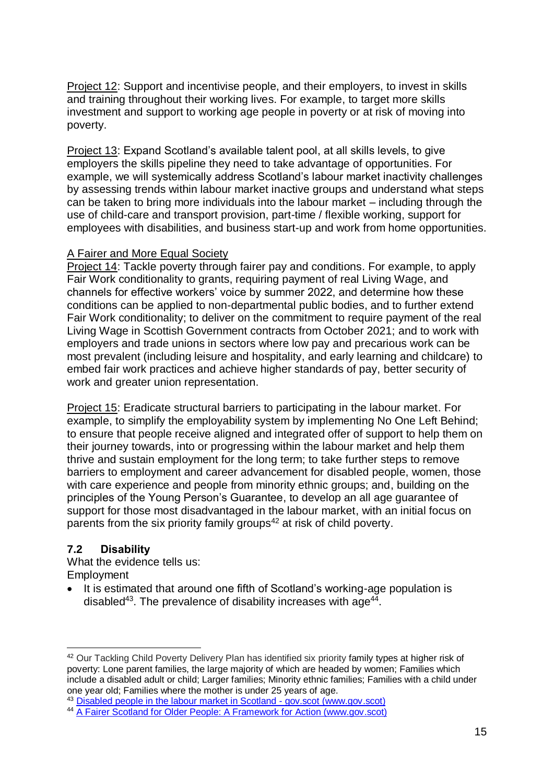Project 12: Support and incentivise people, and their employers, to invest in skills and training throughout their working lives. For example, to target more skills investment and support to working age people in poverty or at risk of moving into poverty.

Project 13: Expand Scotland's available talent pool, at all skills levels, to give employers the skills pipeline they need to take advantage of opportunities. For example, we will systemically address Scotland's labour market inactivity challenges by assessing trends within labour market inactive groups and understand what steps can be taken to bring more individuals into the labour market – including through the use of child-care and transport provision, part-time / flexible working, support for employees with disabilities, and business start-up and work from home opportunities.

#### A Fairer and More Equal Society

Project 14: Tackle poverty through fairer pay and conditions. For example, to apply Fair Work conditionality to grants, requiring payment of real Living Wage, and channels for effective workers' voice by summer 2022, and determine how these conditions can be applied to non-departmental public bodies, and to further extend Fair Work conditionality; to deliver on the commitment to require payment of the real Living Wage in Scottish Government contracts from October 2021; and to work with employers and trade unions in sectors where low pay and precarious work can be most prevalent (including leisure and hospitality, and early learning and childcare) to embed fair work practices and achieve higher standards of pay, better security of work and greater union representation.

Project 15: Eradicate structural barriers to participating in the labour market. For example, to simplify the employability system by implementing No One Left Behind; to ensure that people receive aligned and integrated offer of support to help them on their journey towards, into or progressing within the labour market and help them thrive and sustain employment for the long term; to take further steps to remove barriers to employment and career advancement for disabled people, women, those with care experience and people from minority ethnic groups; and, building on the principles of the Young Person's Guarantee, to develop an all age guarantee of support for those most disadvantaged in the labour market, with an initial focus on parents from the six priority family groups<sup>42</sup> at risk of child poverty.

#### <span id="page-15-0"></span>**7.2 Disability**

1

What the evidence tells us: Employment

• It is estimated that around one fifth of Scotland's working-age population is disabled<sup>43</sup>. The prevalence of disability increases with age<sup>44</sup>.

<sup>&</sup>lt;sup>42</sup> Our Tackling Child Poverty Delivery Plan has identified six priority family types at higher risk of poverty: Lone parent families, the large majority of which are headed by women; Families which include a disabled adult or child; Larger families; Minority ethnic families; Families with a child under one year old; Families where the mother is under 25 years of age.

<sup>43</sup> [Disabled people in the labour market in Scotland -](https://www.gov.scot/publications/disabled-people-in-the-labour-market-in-scotland/) gov.scot (www.gov.scot)

<sup>44</sup> [A Fairer Scotland for Older People: A Framework for Action \(www.gov.scot\)](https://www.gov.scot/binaries/content/documents/govscot/publications/strategy-plan/2019/04/fairer-scotland-older-people-framework-action/documents/fairer-scotland-older-people-framework-action/fairer-scotland-older-people-framework-action/govscot%3Adocument/fairer-scotland-older-people-framework-action.pdf)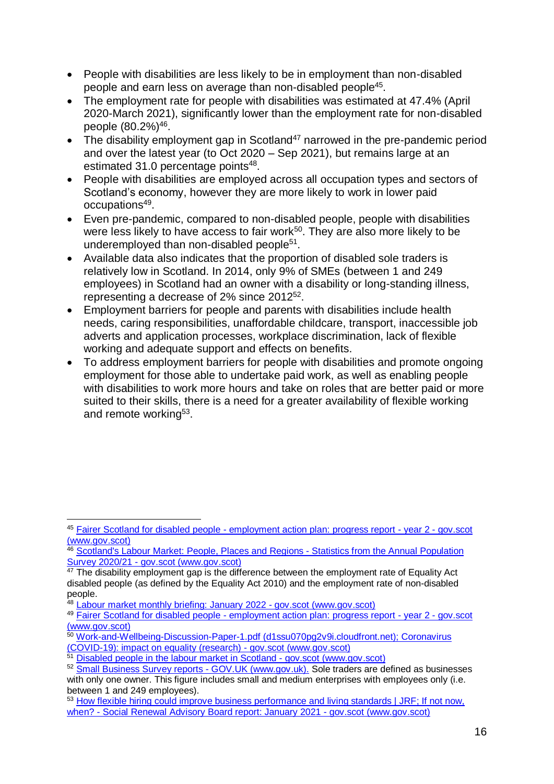- People with disabilities are less likely to be in employment than non-disabled people and earn less on average than non-disabled people<sup>45</sup>.
- The employment rate for people with disabilities was estimated at 47.4% (April 2020-March 2021), significantly lower than the employment rate for non-disabled people (80.2%)<sup>46</sup>.
- The disability employment gap in Scotland<sup>47</sup> narrowed in the pre-pandemic period and over the latest year (to Oct 2020 – Sep 2021), but remains large at an estimated 31.0 percentage points<sup>48</sup>.
- People with disabilities are employed across all occupation types and sectors of Scotland's economy, however they are more likely to work in lower paid occupations<sup>49</sup>.
- Even pre-pandemic, compared to non-disabled people, people with disabilities were less likely to have access to fair work<sup>50</sup>. They are also more likely to be underemployed than non-disabled people<sup>51</sup>.
- Available data also indicates that the proportion of disabled sole traders is relatively low in Scotland. In 2014, only 9% of SMEs (between 1 and 249 employees) in Scotland had an owner with a disability or long-standing illness, representing a decrease of 2% since 2012<sup>52</sup>.
- Employment barriers for people and parents with disabilities include health needs, caring responsibilities, unaffordable childcare, transport, inaccessible job adverts and application processes, workplace discrimination, lack of flexible working and adequate support and effects on benefits.
- To address employment barriers for people with disabilities and promote ongoing employment for those able to undertake paid work, as well as enabling people with disabilities to work more hours and take on roles that are better paid or more suited to their skills, there is a need for a greater availability of flexible working and remote working<sup>53</sup>.

<sup>1</sup> <sup>45</sup> Fairer Scotland for disabled people - [employment action plan: progress report -](https://www.gov.scot/publications/fairer-scotland-disabled-people-employment-action-plan-year-2-progress-report/pages/4/) year 2 - gov.scot [\(www.gov.scot\)](https://www.gov.scot/publications/fairer-scotland-disabled-people-employment-action-plan-year-2-progress-report/pages/4/)

<sup>46</sup> [Scotland's Labour Market: People, Places](https://www.gov.scot/publications/scotlands-labour-market-people-places-regions-statistics-annual-population-survey-2020-21/pages/11/) and Regions - Statistics from the Annual Population Survey 2020/21 - [gov.scot \(www.gov.scot\)](https://www.gov.scot/publications/scotlands-labour-market-people-places-regions-statistics-annual-population-survey-2020-21/pages/11/)

 $47$  The disability employment gap is the difference between the employment rate of Equality Act disabled people (as defined by the Equality Act 2010) and the employment rate of non-disabled people.

<sup>48</sup> [Labour market monthly briefing: January 2022 -](https://www.gov.scot/publications/labour-market-monthly-briefing-january-2022/) gov.scot (www.gov.scot)

<sup>49</sup> Fairer Scotland for disabled people - [employment action plan: progress report -](https://www.gov.scot/publications/fairer-scotland-disabled-people-employment-action-plan-year-2-progress-report/pages/4/) year 2 - gov.scot [\(www.gov.scot\)](https://www.gov.scot/publications/fairer-scotland-disabled-people-employment-action-plan-year-2-progress-report/pages/4/)

<sup>50</sup> [Work-and-Wellbeing-Discussion-Paper-1.pdf \(d1ssu070pg2v9i.cloudfront.net\);](https://d1ssu070pg2v9i.cloudfront.net/pex/carnegie_uk_trust/2016/11/Work-and-Wellbeing-Discussion-Paper-1.pdf) [Coronavirus](https://www.gov.scot/publications/the-impacts-of-covid-19-on-equality-in-scotland/)  [\(COVID-19\): impact on equality \(research\) -](https://www.gov.scot/publications/the-impacts-of-covid-19-on-equality-in-scotland/) gov.scot (www.gov.scot)

 $\frac{1}{51}$  [Disabled people in the labour market](https://www.gov.scot/publications/disabled-people-in-the-labour-market-in-scotland/) in Scotland - gov.scot (www.gov.scot)

<sup>52</sup> [Small Business Survey reports -](https://www.gov.uk/government/collections/small-business-survey-reports) GOV.UK (www.gov.uk). Sole traders are defined as businesses with only one owner. This figure includes small and medium enterprises with employees only (i.e. between 1 and 249 employees).

<sup>&</sup>lt;sup>53</sup> [How flexible hiring could improve business performance and living standards | JRF;](https://www.jrf.org.uk/report/how-flexible-hiring-could-improve-business-performance-and-living-standards) If not now, when? - [Social Renewal Advisory Board report: January 2021 -](https://www.gov.scot/publications/not-now-social-renewal-advisory-board-report-january-2021/documents/) gov.scot (www.gov.scot)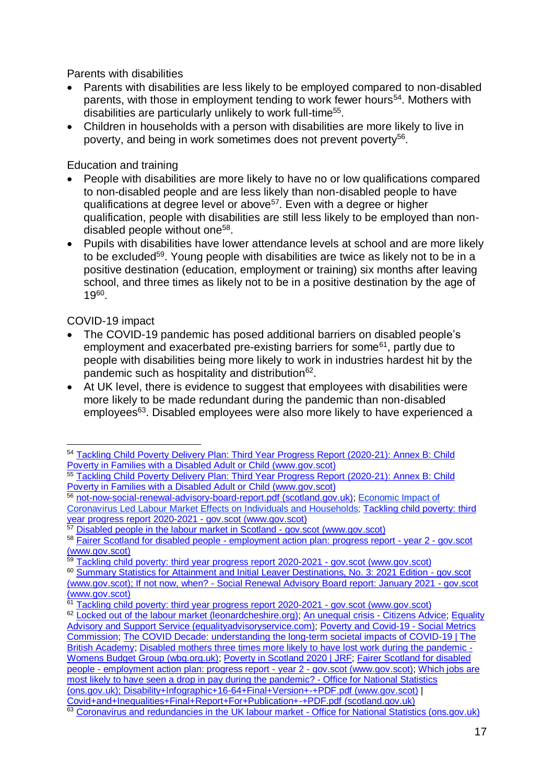Parents with disabilities

- Parents with disabilities are less likely to be employed compared to non-disabled parents, with those in employment tending to work fewer hours<sup>54</sup>. Mothers with disabilities are particularly unlikely to work full-time<sup>55</sup>.
- Children in households with a person with disabilities are more likely to live in poverty, and being in work sometimes does not prevent poverty<sup>56</sup>.

Education and training

- People with disabilities are more likely to have no or low qualifications compared to non-disabled people and are less likely than non-disabled people to have qualifications at degree level or above<sup>57</sup>. Even with a degree or higher qualification, people with disabilities are still less likely to be employed than nondisabled people without one<sup>58</sup>.
- Pupils with disabilities have lower attendance levels at school and are more likely to be excluded<sup>59</sup>. Young people with disabilities are twice as likely not to be in a positive destination (education, employment or training) six months after leaving school, and three times as likely not to be in a positive destination by the age of 19<sup>60</sup> .

#### COVID-19 impact

- The COVID-19 pandemic has posed additional barriers on disabled people's employment and exacerbated pre-existing barriers for some<sup>61</sup>, partly due to people with disabilities being more likely to work in industries hardest hit by the pandemic such as hospitality and distribution<sup>62</sup>.
- At UK level, there is evidence to suggest that employees with disabilities were more likely to be made redundant during the pandemic than non-disabled employees<sup>63</sup>. Disabled employees were also more likely to have experienced a

57 [Disabled people in the labour market in Scotland -](https://www.gov.scot/publications/disabled-people-in-the-labour-market-in-scotland/) gov.scot (www.gov.scot)

<sup>1</sup> <sup>54</sup> [Tackling Child Poverty Delivery Plan: Third Year Progress Report \(2020-21\): Annex B: Child](https://www.gov.scot/binaries/content/documents/govscot/publications/research-and-analysis/2021/07/tackling-child-poverty-third-year-progress-report-annex-b-child-poverty-families-disabled-adult-child/documents/tackling-child-poverty-delivery-plan-third-year-progress-report-2020-21-annex-b-child-poverty-families-disabled-adult-child/tackling-child-poverty-delivery-plan-third-year-progress-report-2020-21-annex-b-child-poverty-families-disabled-adult-child/govscot%3Adocument/tackling-child-poverty-delivery-plan-third-year-progress-report-2020-21-annex-b-child-poverty-families-disabled-adult-child.pdf)  [Poverty in Families with a Disabled Adult or Child \(www.gov.scot\)](https://www.gov.scot/binaries/content/documents/govscot/publications/research-and-analysis/2021/07/tackling-child-poverty-third-year-progress-report-annex-b-child-poverty-families-disabled-adult-child/documents/tackling-child-poverty-delivery-plan-third-year-progress-report-2020-21-annex-b-child-poverty-families-disabled-adult-child/tackling-child-poverty-delivery-plan-third-year-progress-report-2020-21-annex-b-child-poverty-families-disabled-adult-child/govscot%3Adocument/tackling-child-poverty-delivery-plan-third-year-progress-report-2020-21-annex-b-child-poverty-families-disabled-adult-child.pdf)

<sup>55</sup> Tackling Child Poverty Delivery Plan: Third Year Progress Report (2020-21): Annex B: Child [Poverty in Families with a Disabled Adult or](https://www.gov.scot/binaries/content/documents/govscot/publications/research-and-analysis/2021/07/tackling-child-poverty-third-year-progress-report-annex-b-child-poverty-families-disabled-adult-child/documents/tackling-child-poverty-delivery-plan-third-year-progress-report-2020-21-annex-b-child-poverty-families-disabled-adult-child/tackling-child-poverty-delivery-plan-third-year-progress-report-2020-21-annex-b-child-poverty-families-disabled-adult-child/govscot%3Adocument/tackling-child-poverty-delivery-plan-third-year-progress-report-2020-21-annex-b-child-poverty-families-disabled-adult-child.pdf) Child (www.gov.scot)

<sup>56</sup> [not-now-social-renewal-advisory-board-report.pdf \(scotland.gov.uk\);](https://www.gov.scot/publications/not-now-social-renewal-advisory-board-report-january-2021/) Economic Impact of [Coronavirus Led Labour Market Effects on Individuals and Households;](https://www.gov.scot/binaries/content/documents/govscot/publications/statistics/2020/02/additional-poverty-statistics-2020/documents/economic-impact-of-coronavirus-led-labour-market-effects-on-individuals-and-households/economic-impact-of-coronavirus-led-labour-market-effects-on-individuals-and-households/govscot%3Adocument/Covid-19%2B-%2BLabour%2BMarket%2B-%2BEconomic%2BImpact%2Bof%2BCoronavirus%2Bon%2BIndividuals%2Band%2BHouseholds%2B-%2BSummary%2Bfor%2Bpublication.docx) [Tackling child poverty: third](https://www.gov.scot/publications/tackling-child-poverty-third-year-progress-report-2020-2021/pages/7/)  [year progress report 2020-2021 -](https://www.gov.scot/publications/tackling-child-poverty-third-year-progress-report-2020-2021/pages/7/) gov.scot (www.gov.scot)

<sup>58</sup> Fairer Scotland for disabled people - [employment action plan: progress report -](https://www.gov.scot/publications/fairer-scotland-disabled-people-employment-action-plan-year-2-progress-report/pages/4/) year 2 - gov.scot [\(www.gov.scot\)](https://www.gov.scot/publications/fairer-scotland-disabled-people-employment-action-plan-year-2-progress-report/pages/4/)

 $\frac{1}{59}$  [Tackling child poverty: third year progress report 2020-2021 -](https://www.gov.scot/publications/tackling-child-poverty-third-year-progress-report-2020-2021/pages/7/) gov.scot (www.gov.scot)

<sup>&</sup>lt;sup>60</sup> [Summary Statistics for Attainment and Initial Leaver Destinations, No. 3: 2021 Edition -](https://www.gov.scot/publications/summary-statistics-attainment-initial-leaver-destinations-no-3-2021-edition/) gov.scot [\(www.gov.scot\);](https://www.gov.scot/publications/summary-statistics-attainment-initial-leaver-destinations-no-3-2021-edition/) If not now, when? - [Social Renewal Advisory Board report: January 2021 -](https://www.gov.scot/publications/not-now-social-renewal-advisory-board-report-january-2021/documents/) gov.scot [\(www.gov.scot\)](https://www.gov.scot/publications/not-now-social-renewal-advisory-board-report-january-2021/documents/)

<sup>&</sup>lt;sup>61</sup> [Tackling child poverty: third year progress report 2020-2021 -](https://www.gov.scot/publications/tackling-child-poverty-third-year-progress-report-2020-2021/pages/7/) gov.scot (www.gov.scot)

<sup>&</sup>lt;sup>62</sup> [Locked out of the labour market \(leonardcheshire.org\);](https://stg.leonardcheshire.org/sites/default/files/2020-10/Locked-out-of-labour-market.pdf) [An unequal crisis -](https://www.citizensadvice.org.uk/about-us/our-work/policy/policy-research-topics/work-policy-research-surveys-and-consultation-responses/work-policy-research/an-unequal-crisis/) Citizens Advice; Equality [Advisory and Support Service \(equalityadvisoryservice.com\);](https://www.equalityadvisoryservice.com/) [Poverty and Covid-19 -](https://socialmetricscommission.org.uk/poverty-and-covid-2/) Social Metrics [Commission;](https://socialmetricscommission.org.uk/poverty-and-covid-2/) [The COVID Decade: understanding the long-term societal impacts of COVID-19 | The](https://www.thebritishacademy.ac.uk/publications/covid-decade-understanding-the-long-term-societal-impacts-of-covid-19/)  [British Academy;](https://www.thebritishacademy.ac.uk/publications/covid-decade-understanding-the-long-term-societal-impacts-of-covid-19/) [Disabled mothers three times more likely to have lost work during the pandemic -](https://wbg.org.uk/media/disabled-mothers-three-times-more-likely-to-have-lost-work-during-the-pandemic/) [Womens Budget Group \(wbg.org.uk\);](https://wbg.org.uk/media/disabled-mothers-three-times-more-likely-to-have-lost-work-during-the-pandemic/) [Poverty in Scotland 2020 | JRF;](https://www.jrf.org.uk/report/poverty-scotland-2020) Fairer Scotland for disabled people - [employment action plan: progress report -](https://www.gov.scot/publications/fairer-scotland-disabled-people-employment-action-plan-year-2-progress-report/) year 2 - gov.scot (www.gov.scot); [Which jobs are](https://www.ons.gov.uk/employmentandlabourmarket/peopleinwork/earningsandworkinghours/articles/whichjobsaremostlikelytohaveseenadropinpayduringthepandemic/2021-03-05)  [most likely to have seen a drop in pay during the pandemic? -](https://www.ons.gov.uk/employmentandlabourmarket/peopleinwork/earningsandworkinghours/articles/whichjobsaremostlikelytohaveseenadropinpayduringthepandemic/2021-03-05) Office for National Statistics [\(ons.gov.uk\);](https://www.ons.gov.uk/employmentandlabourmarket/peopleinwork/earningsandworkinghours/articles/whichjobsaremostlikelytohaveseenadropinpayduringthepandemic/2021-03-05) [Disability+Infographic+16-64+Final+Version+-+PDF.pdf \(www.gov.scot\)](https://www.gov.scot/binaries/content/documents/govscot/publications/statistics/2020/02/disabled-people-labour-market-scotland-2018/documents/disabled-people-and-the-labour-market-in-scotland-2018/disabled-people-and-the-labour-market-in-scotland-2018/govscot:document/Disability+Infographic+16-64+Final+Version+-+PDF.pdf) | [Covid+and+Inequalities+Final+Report+For+Publication+-+PDF.pdf \(scotland.gov.uk\)](https://www.gov.scot/binaries/content/documents/govscot/publications/research-and-analysis/2020/09/the-impacts-of-covid-19-on-equality-in-scotland/documents/full-report/full-report/govscot%3Adocument/Covid%2Band%2BInequalities%2BFinal%2BReport%2BFor%2BPublication%2B-%2BPDF.pdf) <sup>63</sup> [Coronavirus and redundancies in the UK labour market -](https://www.ons.gov.uk/employmentandlabourmarket/peopleinwork/employmentandemployeetypes/articles/labourmarketeconomicanalysisquarterly/december2020#redundancies-among-different-groups-of-employees-and-industries) Office for National Statistics (ons.gov.uk)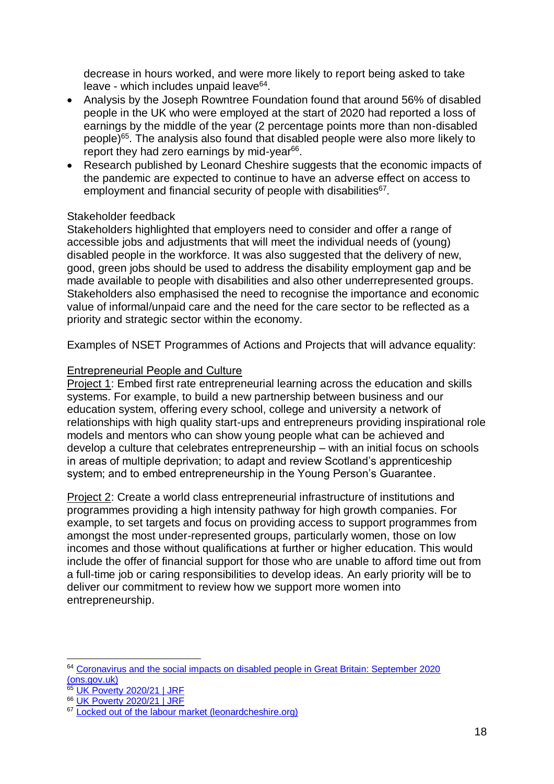decrease in hours worked, and were more likely to report being asked to take leave - which includes unpaid leave<sup>64</sup>.

- Analysis by the Joseph Rowntree Foundation found that around 56% of disabled people in the UK who were employed at the start of 2020 had reported a loss of earnings by the middle of the year (2 percentage points more than non-disabled people)<sup>65</sup>. The analysis also found that disabled people were also more likely to report they had zero earnings by mid-year<sup>66</sup>.
- Research published by Leonard Cheshire suggests that the economic impacts of the pandemic are expected to continue to have an adverse effect on access to employment and financial security of people with disabilities<sup>67</sup>.

#### Stakeholder feedback

Stakeholders highlighted that employers need to consider and offer a range of accessible jobs and adjustments that will meet the individual needs of (young) disabled people in the workforce. It was also suggested that the delivery of new, good, green jobs should be used to address the disability employment gap and be made available to people with disabilities and also other underrepresented groups. Stakeholders also emphasised the need to recognise the importance and economic value of informal/unpaid care and the need for the care sector to be reflected as a priority and strategic sector within the economy.

Examples of NSET Programmes of Actions and Projects that will advance equality:

#### Entrepreneurial People and Culture

Project 1: Embed first rate entrepreneurial learning across the education and skills systems. For example, to build a new partnership between business and our education system, offering every school, college and university a network of relationships with high quality start-ups and entrepreneurs providing inspirational role models and mentors who can show young people what can be achieved and develop a culture that celebrates entrepreneurship – with an initial focus on schools in areas of multiple deprivation; to adapt and review Scotland's apprenticeship system; and to embed entrepreneurship in the Young Person's Guarantee.

Project 2: Create a world class entrepreneurial infrastructure of institutions and programmes providing a high intensity pathway for high growth companies. For example, to set targets and focus on providing access to support programmes from amongst the most under-represented groups, particularly women, those on low incomes and those without qualifications at further or higher education. This would include the offer of financial support for those who are unable to afford time out from a full-time job or caring responsibilities to develop ideas. An early priority will be to deliver our commitment to review how we support more women into entrepreneurship.

<sup>1</sup> <sup>64</sup> Coronavirus and the social impacts on disabled people in Great Britain: September 2020 [\(ons.gov.uk\)](https://www.ons.gov.uk/peoplepopulationandcommunity/healthandsocialcare/disability/articles/coronavirusandthesocialimpactsondisabledpeopleingreatbritain/february2021)

<sup>65 &</sup>lt;u>UK Poverty 2020/21</u> | JRF

<sup>66</sup> [UK Poverty 2020/21 | JRF](https://www.jrf.org.uk/report/uk-poverty-2020-21)

<sup>&</sup>lt;sup>67</sup> [Locked out of the labour market \(leonardcheshire.org\)](https://www.leonardcheshire.org/sites/default/files/2020-10/Locked-out-of-labour-market.pdf)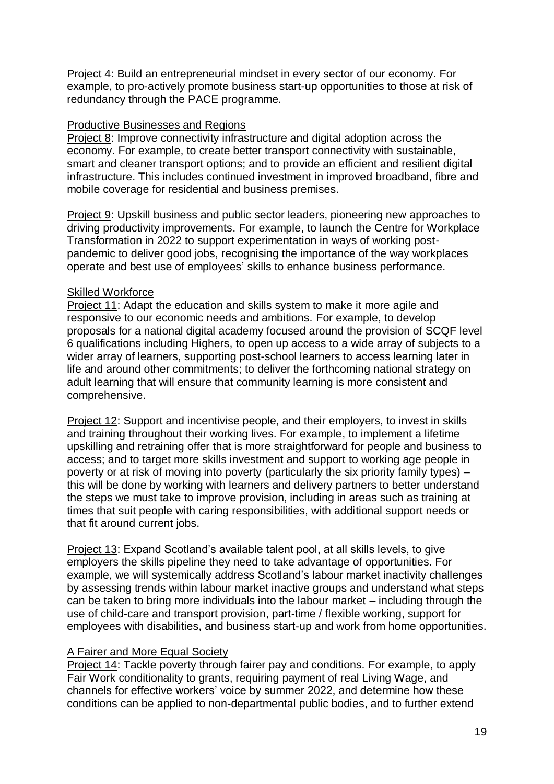Project 4: Build an entrepreneurial mindset in every sector of our economy. For example, to pro-actively promote business start-up opportunities to those at risk of redundancy through the PACE programme.

#### Productive Businesses and Regions

Project 8: Improve connectivity infrastructure and digital adoption across the economy. For example, to create better transport connectivity with sustainable, smart and cleaner transport options; and to provide an efficient and resilient digital infrastructure. This includes continued investment in improved broadband, fibre and mobile coverage for residential and business premises.

Project 9: Upskill business and public sector leaders, pioneering new approaches to driving productivity improvements. For example, to launch the Centre for Workplace Transformation in 2022 to support experimentation in ways of working postpandemic to deliver good jobs, recognising the importance of the way workplaces operate and best use of employees' skills to enhance business performance.

#### Skilled Workforce

Project 11: Adapt the education and skills system to make it more agile and responsive to our economic needs and ambitions. For example, to develop proposals for a national digital academy focused around the provision of SCQF level 6 qualifications including Highers, to open up access to a wide array of subjects to a wider array of learners, supporting post-school learners to access learning later in life and around other commitments; to deliver the forthcoming national strategy on adult learning that will ensure that community learning is more consistent and comprehensive.

Project 12: Support and incentivise people, and their employers, to invest in skills and training throughout their working lives. For example, to implement a lifetime upskilling and retraining offer that is more straightforward for people and business to access; and to target more skills investment and support to working age people in poverty or at risk of moving into poverty (particularly the six priority family types) – this will be done by working with learners and delivery partners to better understand the steps we must take to improve provision, including in areas such as training at times that suit people with caring responsibilities, with additional support needs or that fit around current jobs.

Project 13: Expand Scotland's available talent pool, at all skills levels, to give employers the skills pipeline they need to take advantage of opportunities. For example, we will systemically address Scotland's labour market inactivity challenges by assessing trends within labour market inactive groups and understand what steps can be taken to bring more individuals into the labour market – including through the use of child-care and transport provision, part-time / flexible working, support for employees with disabilities, and business start-up and work from home opportunities.

#### A Fairer and More Equal Society

Project 14: Tackle poverty through fairer pay and conditions. For example, to apply Fair Work conditionality to grants, requiring payment of real Living Wage, and channels for effective workers' voice by summer 2022, and determine how these conditions can be applied to non-departmental public bodies, and to further extend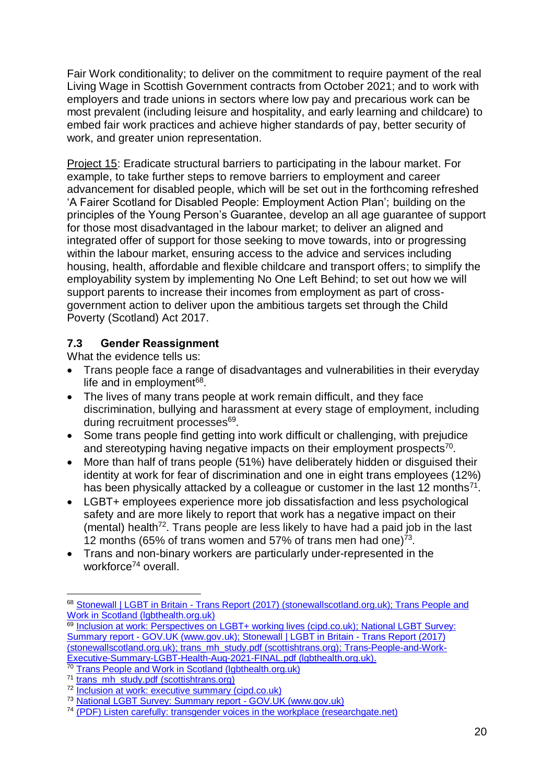Fair Work conditionality; to deliver on the commitment to require payment of the real Living Wage in Scottish Government contracts from October 2021; and to work with employers and trade unions in sectors where low pay and precarious work can be most prevalent (including leisure and hospitality, and early learning and childcare) to embed fair work practices and achieve higher standards of pay, better security of work, and greater union representation.

Project 15: Eradicate structural barriers to participating in the labour market. For example, to take further steps to remove barriers to employment and career advancement for disabled people, which will be set out in the forthcoming refreshed 'A Fairer Scotland for Disabled People: Employment Action Plan'; building on the principles of the Young Person's Guarantee, develop an all age guarantee of support for those most disadvantaged in the labour market; to deliver an aligned and integrated offer of support for those seeking to move towards, into or progressing within the labour market, ensuring access to the advice and services including housing, health, affordable and flexible childcare and transport offers; to simplify the employability system by implementing No One Left Behind; to set out how we will support parents to increase their incomes from employment as part of crossgovernment action to deliver upon the ambitious targets set through the Child Poverty (Scotland) Act 2017.

#### <span id="page-20-0"></span>**7.3 Gender Reassignment**

What the evidence tells us:

- Trans people face a range of disadvantages and vulnerabilities in their everyday life and in employment<sup>68</sup>.
- The lives of many trans people at work remain difficult, and they face discrimination, bullying and harassment at every stage of employment, including during recruitment processes<sup>69</sup>.
- Some trans people find getting into work difficult or challenging, with prejudice and stereotyping having negative impacts on their employment prospects $70$ .
- More than half of trans people (51%) have deliberately hidden or disguised their identity at work for fear of discrimination and one in eight trans employees (12%) has been physically attacked by a colleague or customer in the last 12 months $^{71}$ .
- LGBT+ employees experience more job dissatisfaction and less psychological safety and are more likely to report that work has a negative impact on their  $($ mental) health<sup>72</sup>. Trans people are less likely to have had a paid job in the last 12 months (65% of trans women and 57% of trans men had one)<sup>73</sup>.
- Trans and non-binary workers are particularly under-represented in the workforce<sup>74</sup> overall.

 $\overline{a}$ 

<sup>68</sup> Stonewall | LGBT in Britain - [Trans Report \(2017\) \(stonewallscotland.org.uk\);](https://www.stonewallscotland.org.uk/lgbt-britain-trans-report) Trans People and Work in Scotland (Igbthealth.org.uk)

<sup>69</sup> [Inclusion at work: Perspectives on LGBT+ working lives \(cipd.co.uk\);](https://www.cipd.co.uk/Images/inclusion-work-perspectives-report_tcm18-90359.pdf) National LGBT Survey: Summary report - [GOV.UK \(www.gov.uk\);](https://www.gov.uk/government/publications/national-lgbt-survey-summary-report/national-lgbt-survey-summary-report#fn:16) [Stonewall | LGBT in Britain](https://www.stonewallscotland.org.uk/lgbt-britain-trans-report) - Trans Report (2017) [\(stonewallscotland.org.uk\);](https://www.stonewallscotland.org.uk/lgbt-britain-trans-report) [trans\\_mh\\_study.pdf \(scottishtrans.org\);](https://www.scottishtrans.org/wp-content/uploads/2013/03/trans_mh_study.pdf) [Trans-People-and-Work-](https://www.lgbthealth.org.uk/wp-content/uploads/2021/08/Trans-People-and-Work-Executive-Summary-LGBT-Health-Aug-2021-FINAL.pdf)[Executive-Summary-LGBT-Health-Aug-2021-FINAL.pdf \(lgbthealth.org.uk\).](https://www.lgbthealth.org.uk/wp-content/uploads/2021/08/Trans-People-and-Work-Executive-Summary-LGBT-Health-Aug-2021-FINAL.pdf)

<sup>70</sup> [Trans People and Work in Scotland \(lgbthealth.org.uk\)](https://www.lgbthealth.org.uk/resource/trans-people-scotland-work/)

<sup>&</sup>lt;sup>71</sup> [trans\\_mh\\_study.pdf \(scottishtrans.org\)](https://www.scottishtrans.org/wp-content/uploads/2013/03/trans_mh_study.pdf)

<sup>72</sup> [Inclusion at work: executive summary \(cipd.co.uk\)](https://www.cipd.co.uk/Images/inclusion-work-perspectives-exec-summ_tcm18-90360.pdf)

<sup>73</sup> [National LGBT Survey: Summary report -](https://www.gov.uk/government/publications/national-lgbt-survey-summary-report/national-lgbt-survey-summary-report#fn:16) GOV.UK (www.gov.uk)

<sup>74</sup> [\(PDF\) Listen carefully: transgender voices in the workplace \(researchgate.net\)](https://www.researchgate.net/publication/308365054_Listen_carefully_transgender_voices_in_the_workplace)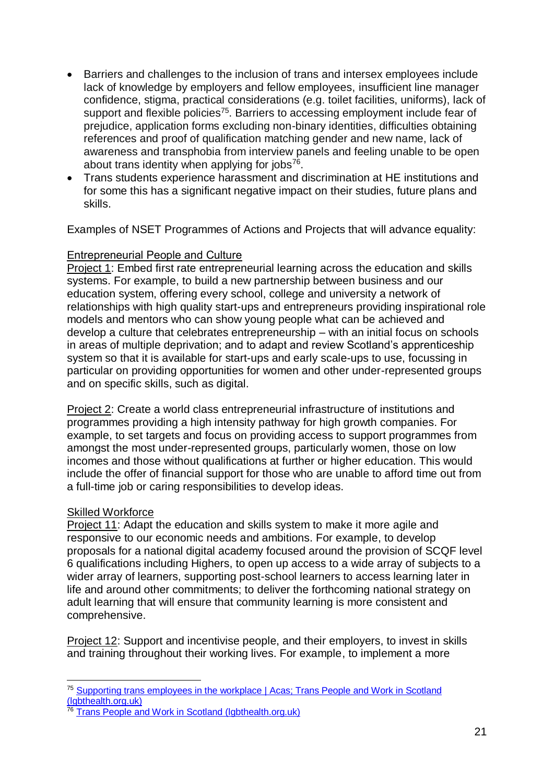- Barriers and challenges to the inclusion of trans and intersex employees include lack of knowledge by employers and fellow employees, insufficient line manager confidence, stigma, practical considerations (e.g. toilet facilities, uniforms), lack of support and flexible policies<sup>75</sup>. Barriers to accessing employment include fear of prejudice, application forms excluding non-binary identities, difficulties obtaining references and proof of qualification matching gender and new name, lack of awareness and transphobia from interview panels and feeling unable to be open about trans identity when applying for jobs $76$ .
- Trans students experience harassment and discrimination at HE institutions and for some this has a significant negative impact on their studies, future plans and skills.

Examples of NSET Programmes of Actions and Projects that will advance equality:

#### Entrepreneurial People and Culture

Project 1: Embed first rate entrepreneurial learning across the education and skills systems. For example, to build a new partnership between business and our education system, offering every school, college and university a network of relationships with high quality start-ups and entrepreneurs providing inspirational role models and mentors who can show young people what can be achieved and develop a culture that celebrates entrepreneurship – with an initial focus on schools in areas of multiple deprivation; and to adapt and review Scotland's apprenticeship system so that it is available for start-ups and early scale-ups to use, focussing in particular on providing opportunities for women and other under-represented groups and on specific skills, such as digital.

Project 2: Create a world class entrepreneurial infrastructure of institutions and programmes providing a high intensity pathway for high growth companies. For example, to set targets and focus on providing access to support programmes from amongst the most under-represented groups, particularly women, those on low incomes and those without qualifications at further or higher education. This would include the offer of financial support for those who are unable to afford time out from a full-time job or caring responsibilities to develop ideas.

#### Skilled Workforce

1

Project 11: Adapt the education and skills system to make it more agile and responsive to our economic needs and ambitions. For example, to develop proposals for a national digital academy focused around the provision of SCQF level 6 qualifications including Highers, to open up access to a wide array of subjects to a wider array of learners, supporting post-school learners to access learning later in life and around other commitments; to deliver the forthcoming national strategy on adult learning that will ensure that community learning is more consistent and comprehensive.

Project 12: Support and incentivise people, and their employers, to invest in skills and training throughout their working lives. For example, to implement a more

<sup>&</sup>lt;sup>75</sup> [Supporting trans employees in the workplace | Acas;](https://www.acas.org.uk/supporting-trans-employees-in-the-workplace/html#6.-barriers,-challenges-and-suggestions-for-change) Trans People and Work in Scotland (labthealth.org.uk)

<sup>&</sup>lt;sup>76</sup> Trans People and Work in Scotland (labthealth.org.uk)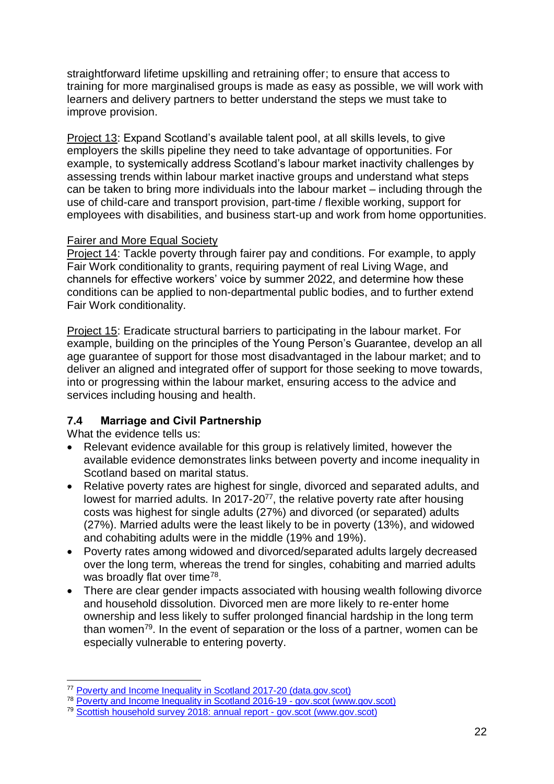straightforward lifetime upskilling and retraining offer; to ensure that access to training for more marginalised groups is made as easy as possible, we will work with learners and delivery partners to better understand the steps we must take to improve provision.

Project 13: Expand Scotland's available talent pool, at all skills levels, to give employers the skills pipeline they need to take advantage of opportunities. For example, to systemically address Scotland's labour market inactivity challenges by assessing trends within labour market inactive groups and understand what steps can be taken to bring more individuals into the labour market – including through the use of child-care and transport provision, part-time / flexible working, support for employees with disabilities, and business start-up and work from home opportunities.

#### Fairer and More Equal Society

Project 14: Tackle poverty through fairer pay and conditions. For example, to apply Fair Work conditionality to grants, requiring payment of real Living Wage, and channels for effective workers' voice by summer 2022, and determine how these conditions can be applied to non-departmental public bodies, and to further extend Fair Work conditionality.

Project 15: Eradicate structural barriers to participating in the labour market. For example, building on the principles of the Young Person's Guarantee, develop an all age guarantee of support for those most disadvantaged in the labour market; and to deliver an aligned and integrated offer of support for those seeking to move towards, into or progressing within the labour market, ensuring access to the advice and services including housing and health.

#### <span id="page-22-0"></span>**7.4 Marriage and Civil Partnership**

What the evidence tells us:

- Relevant evidence available for this group is relatively limited, however the available evidence demonstrates links between poverty and income inequality in Scotland based on marital status.
- Relative poverty rates are highest for single, divorced and separated adults, and lowest for married adults. In 2017-20<sup>77</sup>, the relative poverty rate after housing costs was highest for single adults (27%) and divorced (or separated) adults (27%). Married adults were the least likely to be in poverty (13%), and widowed and cohabiting adults were in the middle (19% and 19%).
- Poverty rates among widowed and divorced/separated adults largely decreased over the long term, whereas the trend for singles, cohabiting and married adults was broadly flat over time<sup>78</sup>.
- There are clear gender impacts associated with housing wealth following divorce and household dissolution. Divorced men are more likely to re-enter home ownership and less likely to suffer prolonged financial hardship in the long term than women<sup>79</sup>. In the event of separation or the loss of a partner, women can be especially vulnerable to entering poverty.

<sup>1</sup> <sup>77</sup> [Poverty and Income Inequality in Scotland 2017-20 \(data.gov.scot\)](https://data.gov.scot/poverty/#Marital_status)

<sup>78</sup> [Poverty and Income Inequality in Scotland 2016-19 -](https://www.gov.scot/publications/poverty-income-inequality-scotland-2016-19/) gov.scot (www.gov.scot)

<sup>79</sup> [Scottish household survey 2018: annual report -](https://www.gov.scot/publications/scotlands-people-annual-report-results-2018-scottish-household-survey/) gov.scot (www.gov.scot)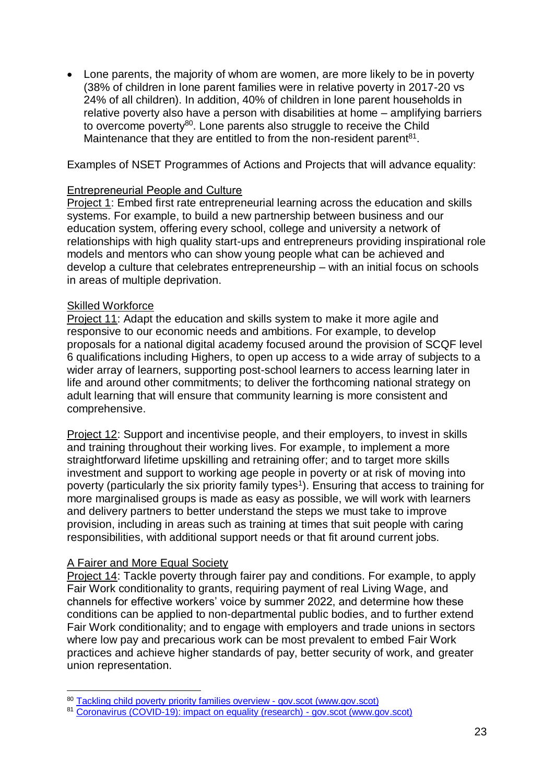• Lone parents, the majority of whom are women, are more likely to be in poverty (38% of children in lone parent families were in relative poverty in 2017-20 vs 24% of all children). In addition, 40% of children in lone parent households in relative poverty also have a person with disabilities at home – amplifying barriers to overcome poverty<sup>80</sup>. Lone parents also struggle to receive the Child Maintenance that they are entitled to from the non-resident parent $81$ .

Examples of NSET Programmes of Actions and Projects that will advance equality:

#### Entrepreneurial People and Culture

Project 1: Embed first rate entrepreneurial learning across the education and skills systems. For example, to build a new partnership between business and our education system, offering every school, college and university a network of relationships with high quality start-ups and entrepreneurs providing inspirational role models and mentors who can show young people what can be achieved and develop a culture that celebrates entrepreneurship – with an initial focus on schools in areas of multiple deprivation.

#### Skilled Workforce

Project 11: Adapt the education and skills system to make it more agile and responsive to our economic needs and ambitions. For example, to develop proposals for a national digital academy focused around the provision of SCQF level 6 qualifications including Highers, to open up access to a wide array of subjects to a wider array of learners, supporting post-school learners to access learning later in life and around other commitments; to deliver the forthcoming national strategy on adult learning that will ensure that community learning is more consistent and comprehensive.

Project 12: Support and incentivise people, and their employers, to invest in skills and training throughout their working lives. For example, to implement a more straightforward lifetime upskilling and retraining offer; and to target more skills investment and support to working age people in poverty or at risk of moving into poverty (particularly the six priority family types<sup>1</sup>). Ensuring that access to training for more marginalised groups is made as easy as possible, we will work with learners and delivery partners to better understand the steps we must take to improve provision, including in areas such as training at times that suit people with caring responsibilities, with additional support needs or that fit around current jobs.

#### A Fairer and More Equal Society

Project 14: Tackle poverty through fairer pay and conditions. For example, to apply Fair Work conditionality to grants, requiring payment of real Living Wage, and channels for effective workers' voice by summer 2022, and determine how these conditions can be applied to non-departmental public bodies, and to further extend Fair Work conditionality; and to engage with employers and trade unions in sectors where low pay and precarious work can be most prevalent to embed Fair Work practices and achieve higher standards of pay, better security of work, and greater union representation.

<sup>1</sup> <sup>80</sup> [Tackling child poverty priority families overview -](https://www.gov.scot/publications/tackling-child-poverty-priority-families-overview/) gov.scot (www.gov.scot)

<sup>81</sup> [Coronavirus \(COVID-19\): impact on equality \(research\) -](https://www.gov.scot/publications/the-impacts-of-covid-19-on-equality-in-scotland/) gov.scot (www.gov.scot)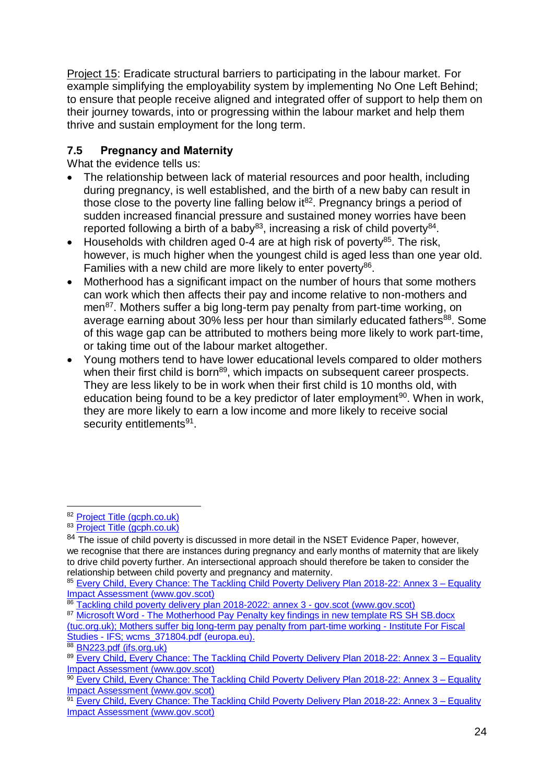Project 15: Eradicate structural barriers to participating in the labour market. For example simplifying the employability system by implementing No One Left Behind; to ensure that people receive aligned and integrated offer of support to help them on their journey towards, into or progressing within the labour market and help them thrive and sustain employment for the long term.

#### <span id="page-24-0"></span>**7.5 Pregnancy and Maternity**

What the evidence tells us:

- The relationship between lack of material resources and poor health, including during pregnancy, is well established, and the birth of a new baby can result in those close to the poverty line falling below  $it^{82}$ . Pregnancy brings a period of sudden increased financial pressure and sustained money worries have been reported following a birth of a baby<sup>83</sup>, increasing a risk of child poverty<sup>84</sup>.
- Households with children aged 0-4 are at high risk of poverty<sup>85</sup>. The risk, however, is much higher when the youngest child is aged less than one year old. Families with a new child are more likely to enter poverty<sup>86</sup>.
- Motherhood has a significant impact on the number of hours that some mothers can work which then affects their pay and income relative to non-mothers and men<sup>87</sup>. Mothers suffer a big long-term pay penalty from part-time working, on average earning about 30% less per hour than similarly educated fathers<sup>88</sup>. Some of this wage gap can be attributed to mothers being more likely to work part-time, or taking time out of the labour market altogether.
- Young mothers tend to have lower educational levels compared to older mothers when their first child is born<sup>89</sup>, which impacts on subsequent career prospects. They are less likely to be in work when their first child is 10 months old, with education being found to be a key predictor of later employment<sup>90</sup>. When in work, they are more likely to earn a low income and more likely to receive social security entitlements<sup>91</sup>.

<sup>1</sup> <sup>82</sup> [Project Title \(gcph.co.uk\)](https://www.gcph.co.uk/assets/0000/7967/Exploring_the_Cost_of_the_Pregnancy_Pathway_report_Sept_2020.pdf)

<sup>83</sup> [Project Title \(gcph.co.uk\)](https://www.gcph.co.uk/assets/0000/7967/Exploring_the_Cost_of_the_Pregnancy_Pathway_report_Sept_2020.pdf)

 $84$  The issue of child poverty is discussed in more detail in the NSET Evidence Paper, however, we recognise that there are instances during pregnancy and early months of maternity that are likely to drive child poverty further. An intersectional approach should therefore be taken to consider the relationship between child poverty and pregnancy and maternity.

<sup>85</sup> Every Child, Every Chance: The Tackling Child Poverty Delivery Plan 2018-22: Annex 3 - Equality [Impact Assessment \(www.gov.scot\)](https://www.gov.scot/binaries/content/documents/govscot/publications/impact-assessment/2018/03/tackling-child-poverty-delivery-plan-2018-22-annex-3-equality/documents/00533633-pdf/00533633-pdf/govscot%3Adocument/00533633.pdf)

<sup>86</sup> [Tackling child poverty delivery plan 2018-2022: annex 3 -](https://www.gov.scot/publications/tackling-child-poverty-delivery-plan-2018-22-annex-3-equality/) gov.scot (www.gov.scot)

<sup>87</sup> Microsoft Word - The Motherhood Pay Penalty key findings in new template RS SH SB.docx [\(tuc.org.uk\);](https://www.tuc.org.uk/sites/default/files/MotherhoodPayPenalty.pdf) [Mothers suffer big long-term pay penalty from part-time working -](https://ifs.org.uk/publications/10364) Institute For Fiscal [Studies -](https://ifs.org.uk/publications/10364) IFS; [wcms\\_371804.pdf \(europa.eu\).](https://eige.europa.eu/resources/wcms_371804.pdf)

<sup>88</sup> [BN223.pdf \(ifs.org.uk\)](https://ifs.org.uk/uploads/publications/bns/BN223.pdf)

<sup>89</sup> Every Child, Every Chance: The Tackling Child Poverty Delivery Plan 2018-22: Annex 3 - Equality [Impact Assessment \(www.gov.scot\)](https://www.gov.scot/binaries/content/documents/govscot/publications/impact-assessment/2018/03/tackling-child-poverty-delivery-plan-2018-22-annex-3-equality/documents/00533633-pdf/00533633-pdf/govscot%3Adocument/00533633.pdf)

<sup>00</sup> [Every Child, Every Chance: The Tackling Child Poverty Delivery Plan 2018-22: Annex 3 –](https://www.gov.scot/binaries/content/documents/govscot/publications/impact-assessment/2018/03/tackling-child-poverty-delivery-plan-2018-22-annex-3-equality/documents/00533633-pdf/00533633-pdf/govscot%3Adocument/00533633.pdf) Equality [Impact Assessment \(www.gov.scot\)](https://www.gov.scot/binaries/content/documents/govscot/publications/impact-assessment/2018/03/tackling-child-poverty-delivery-plan-2018-22-annex-3-equality/documents/00533633-pdf/00533633-pdf/govscot%3Adocument/00533633.pdf)

<sup>&</sup>lt;sup>91</sup> [Every Child, Every Chance: The Tackling Child Poverty Delivery Plan 2018-22: Annex 3 –](https://www.gov.scot/binaries/content/documents/govscot/publications/impact-assessment/2018/03/tackling-child-poverty-delivery-plan-2018-22-annex-3-equality/documents/00533633-pdf/00533633-pdf/govscot%3Adocument/00533633.pdf) Equality [Impact Assessment \(www.gov.scot\)](https://www.gov.scot/binaries/content/documents/govscot/publications/impact-assessment/2018/03/tackling-child-poverty-delivery-plan-2018-22-annex-3-equality/documents/00533633-pdf/00533633-pdf/govscot%3Adocument/00533633.pdf)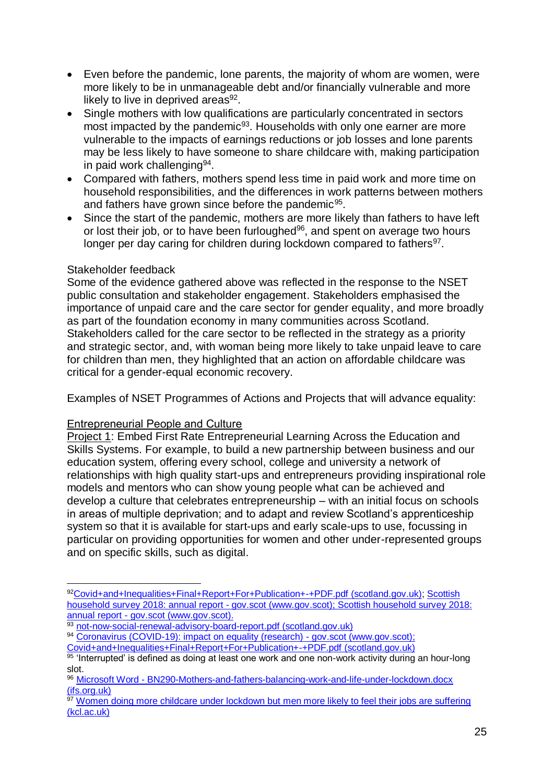- Even before the pandemic, lone parents, the majority of whom are women, were more likely to be in unmanageable debt and/or financially vulnerable and more likely to live in deprived areas $92$ .
- Single mothers with low qualifications are particularly concentrated in sectors most impacted by the pandemic<sup>93</sup>. Households with only one earner are more vulnerable to the impacts of earnings reductions or job losses and lone parents may be less likely to have someone to share childcare with, making participation in paid work challenging<sup>94</sup>.
- Compared with fathers, mothers spend less time in paid work and more time on household responsibilities, and the differences in work patterns between mothers and fathers have grown since before the pandemic<sup>95</sup>.
- Since the start of the pandemic, mothers are more likely than fathers to have left or lost their job, or to have been furloughed<sup>96</sup>, and spent on average two hours longer per day caring for children during lockdown compared to fathers<sup>97</sup>.

#### Stakeholder feedback

1

Some of the evidence gathered above was reflected in the response to the NSET public consultation and stakeholder engagement. Stakeholders emphasised the importance of unpaid care and the care sector for gender equality, and more broadly as part of the foundation economy in many communities across Scotland. Stakeholders called for the care sector to be reflected in the strategy as a priority and strategic sector, and, with woman being more likely to take unpaid leave to care for children than men, they highlighted that an action on affordable childcare was critical for a gender-equal economic recovery.

Examples of NSET Programmes of Actions and Projects that will advance equality:

#### Entrepreneurial People and Culture

Project 1: Embed First Rate Entrepreneurial Learning Across the Education and Skills Systems. For example, to build a new partnership between business and our education system, offering every school, college and university a network of relationships with high quality start-ups and entrepreneurs providing inspirational role models and mentors who can show young people what can be achieved and develop a culture that celebrates entrepreneurship – with an initial focus on schools in areas of multiple deprivation; and to adapt and review Scotland's apprenticeship system so that it is available for start-ups and early scale-ups to use, focussing in particular on providing opportunities for women and other under-represented groups and on specific skills, such as digital.

<sup>92</sup>[Covid+and+Inequalities+Final+Report+For+Publication+-+PDF.pdf \(scotland.gov.uk\);](https://www.gov.scot/binaries/content/documents/govscot/publications/research-and-analysis/2020/09/the-impacts-of-covid-19-on-equality-in-scotland/documents/full-report/full-report/govscot%3Adocument/Covid%2Band%2BInequalities%2BFinal%2BReport%2BFor%2BPublication%2B-%2BPDF.pdf) Scottish [household survey 2018: annual report -](https://www.gov.scot/publications/scotlands-people-annual-report-results-2018-scottish-household-survey/pages/6/) gov.scot (www.gov.scot)[; Scottish household survey 2018:](https://www.gov.scot/publications/scotlands-people-annual-report-results-2018-scottish-household-survey/pages/6/)  annual report - [gov.scot \(www.gov.scot\).](https://www.gov.scot/publications/scotlands-people-annual-report-results-2018-scottish-household-survey/pages/6/)

<sup>93</sup> [not-now-social-renewal-advisory-board-report.pdf \(scotland.gov.uk\)](https://www.gov.scot/publications/not-now-social-renewal-advisory-board-report-january-2021/)

<sup>94</sup> [Coronavirus \(COVID-19\): impact on equality \(research\) -](https://www.gov.scot/publications/the-impacts-of-covid-19-on-equality-in-scotland/) gov.scot (www.gov.scot); [Covid+and+Inequalities+Final+Report+For+Publication+-+PDF.pdf \(scotland.gov.uk\)](file://///scotland.gov.uk/dc1/fs1_home/U444404/Covid+and+Inequalities+Final+Report+For+Publication+-+PDF.pdf)

 $95$  'Interrupted' is defined as doing at least one work and one non-work activity during an hour-long slot.

<sup>96</sup> Microsoft Word - [BN290-Mothers-and-fathers-balancing-work-and-life-under-lockdown.docx](https://ifs.org.uk/uploads/BN290-Mothers-and-fathers-balancing-work-and-life-under-lockdown.pdf)  [\(ifs.org.uk\)](https://ifs.org.uk/uploads/BN290-Mothers-and-fathers-balancing-work-and-life-under-lockdown.pdf)

<sup>97</sup> Women doing more childcare under lockdown but men more likely to feel their jobs are suffering [\(kcl.ac.uk\)](https://www.kcl.ac.uk/news/women-doing-more-childcare-under-lockdown-but-men-more-likely-to-feel-their-jobs-are-suffering)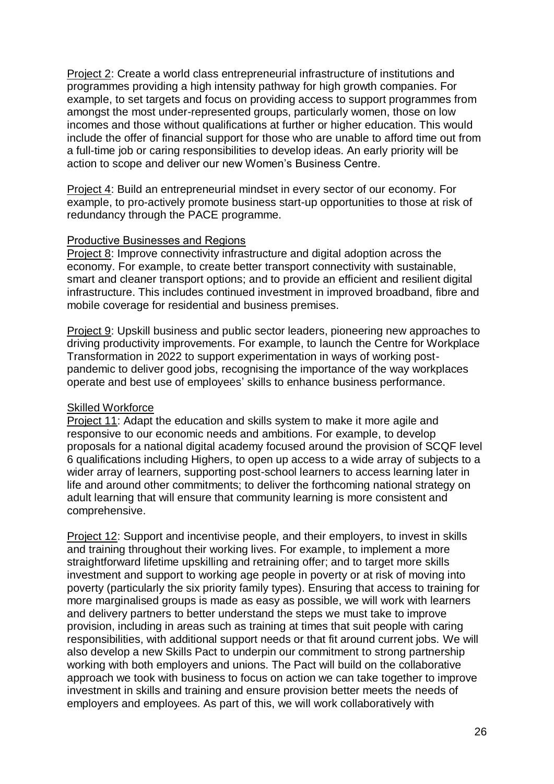Project 2: Create a world class entrepreneurial infrastructure of institutions and programmes providing a high intensity pathway for high growth companies. For example, to set targets and focus on providing access to support programmes from amongst the most under-represented groups, particularly women, those on low incomes and those without qualifications at further or higher education. This would include the offer of financial support for those who are unable to afford time out from a full-time job or caring responsibilities to develop ideas. An early priority will be action to scope and deliver our new Women's Business Centre.

Project 4: Build an entrepreneurial mindset in every sector of our economy. For example, to pro-actively promote business start-up opportunities to those at risk of redundancy through the PACE programme.

#### Productive Businesses and Regions

Project 8: Improve connectivity infrastructure and digital adoption across the economy. For example, to create better transport connectivity with sustainable, smart and cleaner transport options; and to provide an efficient and resilient digital infrastructure. This includes continued investment in improved broadband, fibre and mobile coverage for residential and business premises.

Project 9: Upskill business and public sector leaders, pioneering new approaches to driving productivity improvements. For example, to launch the Centre for Workplace Transformation in 2022 to support experimentation in ways of working postpandemic to deliver good jobs, recognising the importance of the way workplaces operate and best use of employees' skills to enhance business performance.

#### Skilled Workforce

Project 11: Adapt the education and skills system to make it more agile and responsive to our economic needs and ambitions. For example, to develop proposals for a national digital academy focused around the provision of SCQF level 6 qualifications including Highers, to open up access to a wide array of subjects to a wider array of learners, supporting post-school learners to access learning later in life and around other commitments; to deliver the forthcoming national strategy on adult learning that will ensure that community learning is more consistent and comprehensive.

Project 12: Support and incentivise people, and their employers, to invest in skills and training throughout their working lives. For example, to implement a more straightforward lifetime upskilling and retraining offer; and to target more skills investment and support to working age people in poverty or at risk of moving into poverty (particularly the six priority family types). Ensuring that access to training for more marginalised groups is made as easy as possible, we will work with learners and delivery partners to better understand the steps we must take to improve provision, including in areas such as training at times that suit people with caring responsibilities, with additional support needs or that fit around current jobs. We will also develop a new Skills Pact to underpin our commitment to strong partnership working with both employers and unions. The Pact will build on the collaborative approach we took with business to focus on action we can take together to improve investment in skills and training and ensure provision better meets the needs of employers and employees. As part of this, we will work collaboratively with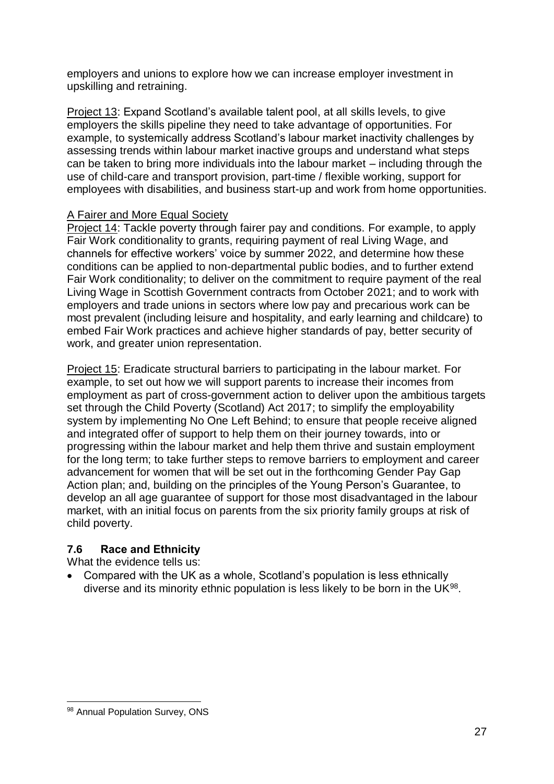employers and unions to explore how we can increase employer investment in upskilling and retraining.

Project 13: Expand Scotland's available talent pool, at all skills levels, to give employers the skills pipeline they need to take advantage of opportunities. For example, to systemically address Scotland's labour market inactivity challenges by assessing trends within labour market inactive groups and understand what steps can be taken to bring more individuals into the labour market – including through the use of child-care and transport provision, part-time / flexible working, support for employees with disabilities, and business start-up and work from home opportunities.

#### A Fairer and More Equal Society

Project 14: Tackle poverty through fairer pay and conditions. For example, to apply Fair Work conditionality to grants, requiring payment of real Living Wage, and channels for effective workers' voice by summer 2022, and determine how these conditions can be applied to non-departmental public bodies, and to further extend Fair Work conditionality; to deliver on the commitment to require payment of the real Living Wage in Scottish Government contracts from October 2021; and to work with employers and trade unions in sectors where low pay and precarious work can be most prevalent (including leisure and hospitality, and early learning and childcare) to embed Fair Work practices and achieve higher standards of pay, better security of work, and greater union representation.

Project 15: Eradicate structural barriers to participating in the labour market. For example, to set out how we will support parents to increase their incomes from employment as part of cross-government action to deliver upon the ambitious targets set through the Child Poverty (Scotland) Act 2017; to simplify the employability system by implementing No One Left Behind; to ensure that people receive aligned and integrated offer of support to help them on their journey towards, into or progressing within the labour market and help them thrive and sustain employment for the long term; to take further steps to remove barriers to employment and career advancement for women that will be set out in the forthcoming Gender Pay Gap Action plan; and, building on the principles of the Young Person's Guarantee, to develop an all age guarantee of support for those most disadvantaged in the labour market, with an initial focus on parents from the six priority family groups at risk of child poverty.

#### <span id="page-27-0"></span>**7.6 Race and Ethnicity**

What the evidence tells us:

• Compared with the UK as a whole, Scotland's population is less ethnically diverse and its minority ethnic population is less likely to be born in the UK $98$ .

<sup>1</sup> 98 Annual Population Survey, ONS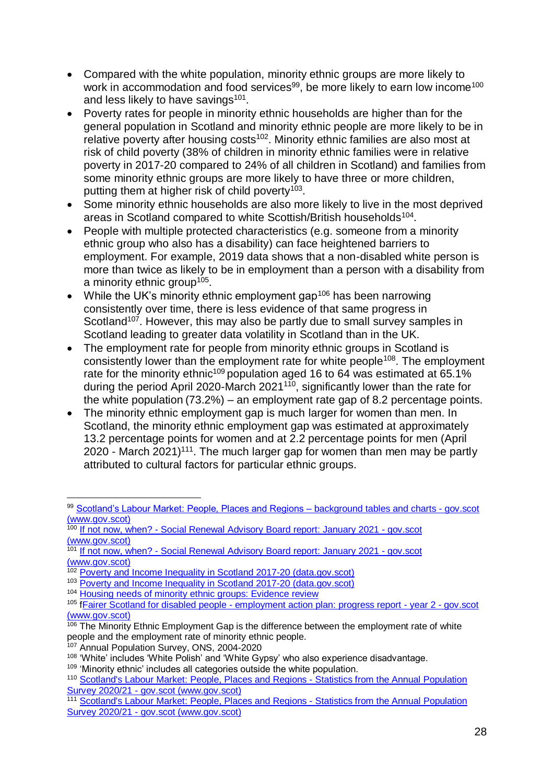- Compared with the white population, minority ethnic groups are more likely to work in accommodation and food services<sup>99</sup>, be more likely to earn low income<sup>100</sup> and less likely to have savings<sup>101</sup>.
- Poverty rates for people in minority ethnic households are higher than for the general population in Scotland and minority ethnic people are more likely to be in relative poverty after housing costs<sup>102</sup>. Minority ethnic families are also most at risk of child poverty (38% of children in minority ethnic families were in relative poverty in 2017-20 compared to 24% of all children in Scotland) and families from some minority ethnic groups are more likely to have three or more children, putting them at higher risk of child poverty<sup>103</sup>.
- Some minority ethnic households are also more likely to live in the most deprived areas in Scotland compared to white Scottish/British households<sup>104</sup>.
- People with multiple protected characteristics (e.g. someone from a minority ethnic group who also has a disability) can face heightened barriers to employment. For example, 2019 data shows that a non-disabled white person is more than twice as likely to be in employment than a person with a disability from a minority ethnic group<sup>105</sup>.
- While the UK's minority ethnic employment gap<sup>106</sup> has been narrowing consistently over time, there is less evidence of that same progress in Scotland<sup>107</sup>. However, this may also be partly due to small survey samples in Scotland leading to greater data volatility in Scotland than in the UK.
- The employment rate for people from minority ethnic groups in Scotland is consistently lower than the employment rate for white people<sup>108</sup>. The employment rate for the minority ethnic<sup>109</sup> population aged 16 to 64 was estimated at 65.1% during the period April 2020-March 2021 $110$ , significantly lower than the rate for the white population (73.2%) – an employment rate gap of 8.2 percentage points.
- The minority ethnic employment gap is much larger for women than men. In Scotland, the minority ethnic employment gap was estimated at approximately 13.2 percentage points for women and at 2.2 percentage points for men (April 2020 - March 2021)<sup>111</sup>. The much larger gap for women than men may be partly attributed to cultural factors for particular ethnic groups.

 $\overline{a}$ 99 [Scotland's Labour Market: People, Places and Regions –](https://www.gov.scot/publications/scotlands-labour-market-people-places-and-regions-background-tables-and-charts/) background tables and charts - gov.scot [\(www.gov.scot\)](https://www.gov.scot/publications/scotlands-labour-market-people-places-and-regions-background-tables-and-charts/)

<sup>100</sup> If not now, when? - [Social Renewal Advisory Board report: January 2021 -](https://www.gov.scot/publications/not-now-social-renewal-advisory-board-report-january-2021/) gov.scot [\(www.gov.scot\)](https://www.gov.scot/publications/not-now-social-renewal-advisory-board-report-january-2021/)

<sup>&</sup>lt;sup>101</sup> If not now, when? - [Social Renewal Advisory Board report: January 2021 -](https://www.gov.scot/publications/not-now-social-renewal-advisory-board-report-january-2021/) gov.scot [\(www.gov.scot\)](https://www.gov.scot/publications/not-now-social-renewal-advisory-board-report-january-2021/)

<sup>&</sup>lt;sup>102</sup> [Poverty and Income Inequality in Scotland 2017-20 \(data.gov.scot\)](https://data.gov.scot/poverty/#Ethnicity)

<sup>103</sup> [Poverty and Income Inequality in Scotland 2017-20 \(data.gov.scot\)](https://data.gov.scot/poverty/#Ethnicity)

<sup>&</sup>lt;sup>104</sup> [Housing needs of minority ethnic groups: Evidence review](https://www.gov.scot/publications/housing-needs-minority-ethnic-groups-evidence-review/)

<sup>105</sup> **fFairer Scotland for disabled people - [employment action plan: progress report -](https://www.gov.scot/publications/fairer-scotland-disabled-people-employment-action-plan-year-2-progress-report/pages/4/) year 2 - gov.scot** [\(www.gov.scot\)](https://www.gov.scot/publications/fairer-scotland-disabled-people-employment-action-plan-year-2-progress-report/pages/4/)

 $106$  The Minority Ethnic Employment Gap is the difference between the employment rate of white people and the employment rate of minority ethnic people.

<sup>107</sup> Annual Population Survey, ONS, 2004-2020

<sup>&</sup>lt;sup>108</sup> 'White' includes 'White Polish' and 'White Gypsy' who also experience disadvantage.

<sup>&</sup>lt;sup>109</sup> 'Minority ethnic' includes all categories outside the white population.

<sup>110</sup> [Scotland's Labour Market: People, Places and Regions -](https://www.gov.scot/publications/scotlands-labour-market-people-places-regions-statistics-annual-population-survey-2020-21/pages/4/) Statistics from the Annual Population Survey 2020/21 - [gov.scot \(www.gov.scot\)](https://www.gov.scot/publications/scotlands-labour-market-people-places-regions-statistics-annual-population-survey-2020-21/pages/4/)

<sup>&</sup>lt;sup>111</sup> [Scotland's Labour Market: People, Places and Regions -](https://www.gov.scot/publications/scotlands-labour-market-people-places-regions-statistics-annual-population-survey-2020-21/pages/1/) Statistics from the Annual Population Survey 2020/21 - [gov.scot \(www.gov.scot\)](https://www.gov.scot/publications/scotlands-labour-market-people-places-regions-statistics-annual-population-survey-2020-21/pages/1/)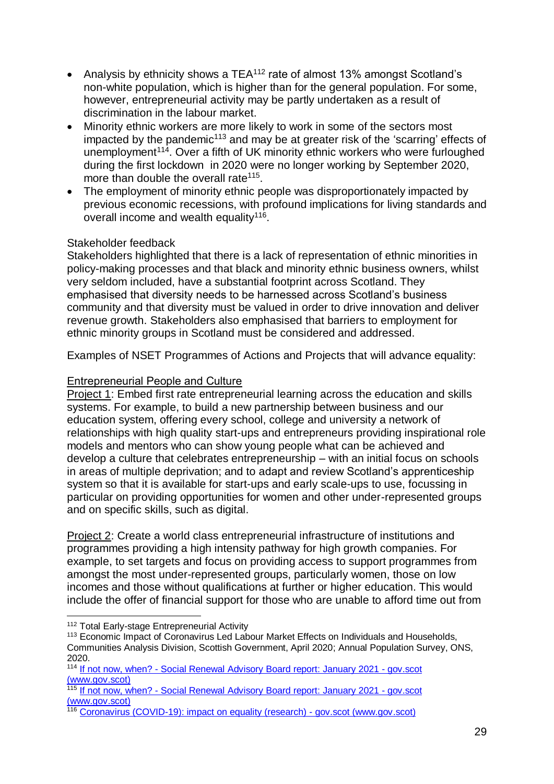- Analysis by ethnicity shows a TEA $112$  rate of almost 13% amongst Scotland's non-white population, which is higher than for the general population. For some, however, entrepreneurial activity may be partly undertaken as a result of discrimination in the labour market.
- Minority ethnic workers are more likely to work in some of the sectors most  $im$ pacted by the pandemic<sup>113</sup> and may be at greater risk of the 'scarring' effects of unemployment<sup>114</sup>. Over a fifth of UK minority ethnic workers who were furloughed during the first lockdown in 2020 were no longer working by September 2020, more than double the overall rate<sup>115</sup>.
- The employment of minority ethnic people was disproportionately impacted by previous economic recessions, with profound implications for living standards and overall income and wealth equality<sup>116</sup>.

#### Stakeholder feedback

Stakeholders highlighted that there is a lack of representation of ethnic minorities in policy-making processes and that black and minority ethnic business owners, whilst very seldom included, have a substantial footprint across Scotland. They emphasised that diversity needs to be harnessed across Scotland's business community and that diversity must be valued in order to drive innovation and deliver revenue growth. Stakeholders also emphasised that barriers to employment for ethnic minority groups in Scotland must be considered and addressed.

Examples of NSET Programmes of Actions and Projects that will advance equality:

#### Entrepreneurial People and Culture

Project 1: Embed first rate entrepreneurial learning across the education and skills systems. For example, to build a new partnership between business and our education system, offering every school, college and university a network of relationships with high quality start-ups and entrepreneurs providing inspirational role models and mentors who can show young people what can be achieved and develop a culture that celebrates entrepreneurship – with an initial focus on schools in areas of multiple deprivation; and to adapt and review Scotland's apprenticeship system so that it is available for start-ups and early scale-ups to use, focussing in particular on providing opportunities for women and other under-represented groups and on specific skills, such as digital.

Project 2: Create a world class entrepreneurial infrastructure of institutions and programmes providing a high intensity pathway for high growth companies. For example, to set targets and focus on providing access to support programmes from amongst the most under-represented groups, particularly women, those on low incomes and those without qualifications at further or higher education. This would include the offer of financial support for those who are unable to afford time out from

<sup>1</sup> <sup>112</sup> Total Early-stage Entrepreneurial Activity

<sup>&</sup>lt;sup>113</sup> Economic Impact of Coronavirus Led Labour Market Effects on Individuals and Households, Communities Analysis Division, Scottish Government, April 2020; Annual Population Survey, ONS, 2020.

<sup>114</sup> If not now, when? - [Social Renewal Advisory Board report: January 2021 -](https://www.gov.scot/publications/not-now-social-renewal-advisory-board-report-january-2021/) gov.scot [\(www.gov.scot\)](https://www.gov.scot/publications/not-now-social-renewal-advisory-board-report-january-2021/)

<sup>115</sup> If not now, when? - [Social Renewal Advisory Board report: January 2021 -](https://www.gov.scot/publications/not-now-social-renewal-advisory-board-report-january-2021/) gov.scot [\(www.gov.scot\)](https://www.gov.scot/publications/not-now-social-renewal-advisory-board-report-january-2021/)

<sup>116</sup> [Coronavirus \(COVID-19\): impact on equality \(research\) -](https://www.gov.scot/publications/the-impacts-of-covid-19-on-equality-in-scotland/) gov.scot (www.gov.scot)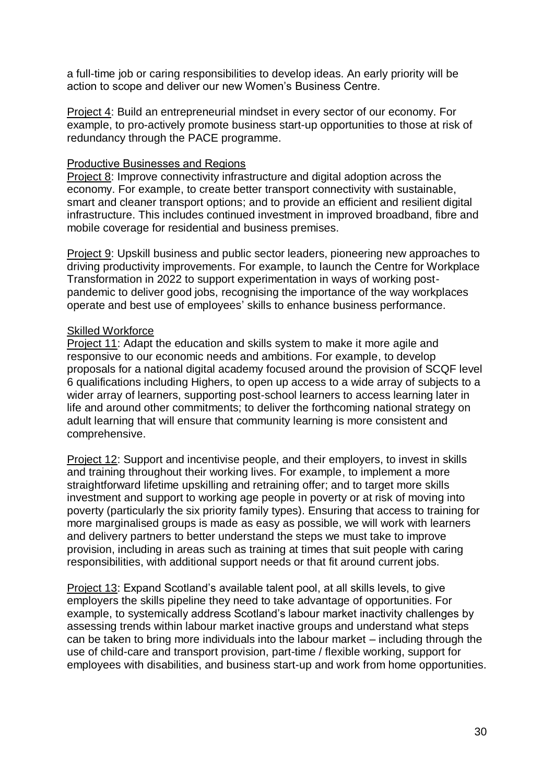a full-time job or caring responsibilities to develop ideas. An early priority will be action to scope and deliver our new Women's Business Centre.

Project 4: Build an entrepreneurial mindset in every sector of our economy. For example, to pro-actively promote business start-up opportunities to those at risk of redundancy through the PACE programme.

#### Productive Businesses and Regions

Project 8: Improve connectivity infrastructure and digital adoption across the economy. For example, to create better transport connectivity with sustainable, smart and cleaner transport options; and to provide an efficient and resilient digital infrastructure. This includes continued investment in improved broadband, fibre and mobile coverage for residential and business premises.

Project 9: Upskill business and public sector leaders, pioneering new approaches to driving productivity improvements. For example, to launch the Centre for Workplace Transformation in 2022 to support experimentation in ways of working postpandemic to deliver good jobs, recognising the importance of the way workplaces operate and best use of employees' skills to enhance business performance.

#### Skilled Workforce

Project 11: Adapt the education and skills system to make it more agile and responsive to our economic needs and ambitions. For example, to develop proposals for a national digital academy focused around the provision of SCQF level 6 qualifications including Highers, to open up access to a wide array of subjects to a wider array of learners, supporting post-school learners to access learning later in life and around other commitments; to deliver the forthcoming national strategy on adult learning that will ensure that community learning is more consistent and comprehensive.

Project 12: Support and incentivise people, and their employers, to invest in skills and training throughout their working lives. For example, to implement a more straightforward lifetime upskilling and retraining offer; and to target more skills investment and support to working age people in poverty or at risk of moving into poverty (particularly the six priority family types). Ensuring that access to training for more marginalised groups is made as easy as possible, we will work with learners and delivery partners to better understand the steps we must take to improve provision, including in areas such as training at times that suit people with caring responsibilities, with additional support needs or that fit around current jobs.

Project 13: Expand Scotland's available talent pool, at all skills levels, to give employers the skills pipeline they need to take advantage of opportunities. For example, to systemically address Scotland's labour market inactivity challenges by assessing trends within labour market inactive groups and understand what steps can be taken to bring more individuals into the labour market – including through the use of child-care and transport provision, part-time / flexible working, support for employees with disabilities, and business start-up and work from home opportunities.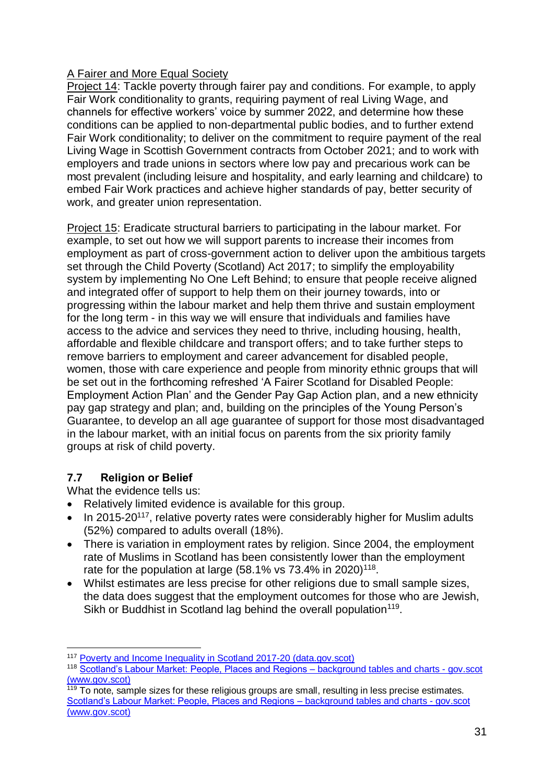#### A Fairer and More Equal Society

Project 14: Tackle poverty through fairer pay and conditions. For example, to apply Fair Work conditionality to grants, requiring payment of real Living Wage, and channels for effective workers' voice by summer 2022, and determine how these conditions can be applied to non-departmental public bodies, and to further extend Fair Work conditionality; to deliver on the commitment to require payment of the real Living Wage in Scottish Government contracts from October 2021; and to work with employers and trade unions in sectors where low pay and precarious work can be most prevalent (including leisure and hospitality, and early learning and childcare) to embed Fair Work practices and achieve higher standards of pay, better security of work, and greater union representation.

Project 15: Eradicate structural barriers to participating in the labour market. For example, to set out how we will support parents to increase their incomes from employment as part of cross-government action to deliver upon the ambitious targets set through the Child Poverty (Scotland) Act 2017; to simplify the employability system by implementing No One Left Behind; to ensure that people receive aligned and integrated offer of support to help them on their journey towards, into or progressing within the labour market and help them thrive and sustain employment for the long term - in this way we will ensure that individuals and families have access to the advice and services they need to thrive, including housing, health, affordable and flexible childcare and transport offers; and to take further steps to remove barriers to employment and career advancement for disabled people, women, those with care experience and people from minority ethnic groups that will be set out in the forthcoming refreshed 'A Fairer Scotland for Disabled People: Employment Action Plan' and the Gender Pay Gap Action plan, and a new ethnicity pay gap strategy and plan; and, building on the principles of the Young Person's Guarantee, to develop an all age guarantee of support for those most disadvantaged in the labour market, with an initial focus on parents from the six priority family groups at risk of child poverty.

#### <span id="page-31-0"></span>**7.7 Religion or Belief**

1

What the evidence tells us:

- Relatively limited evidence is available for this group.
- In 2015-20<sup>117</sup>, relative poverty rates were considerably higher for Muslim adults (52%) compared to adults overall (18%).
- There is variation in employment rates by religion. Since 2004, the employment rate of Muslims in Scotland has been consistently lower than the employment rate for the population at large (58.1% vs 73.4% in 2020)<sup>118</sup>.
- Whilst estimates are less precise for other religions due to small sample sizes, the data does suggest that the employment outcomes for those who are Jewish, Sikh or Buddhist in Scotland lag behind the overall population<sup>119</sup>.

<sup>&</sup>lt;sup>117</sup> [Poverty and Income Inequality in Scotland 2017-20 \(data.gov.scot\)](https://data.gov.scot/poverty/#Religion)

<sup>118</sup> [Scotland's Labour Market: People, Places and Regions –](https://www.gov.scot/publications/scotlands-labour-market-people-places-and-regions-background-tables-and-charts/) background tables and charts - gov.scot [\(www.gov.scot\)](https://www.gov.scot/publications/scotlands-labour-market-people-places-and-regions-background-tables-and-charts/)

<sup>119</sup> To note, sample sizes for these religious groups are small, resulting in less precise estimates. [Scotland's Labour Market: People, Places and Regions –](https://www.gov.scot/publications/scotlands-labour-market-people-places-and-regions-background-tables-and-charts/) background tables and charts - gov.scot [\(www.gov.scot\)](https://www.gov.scot/publications/scotlands-labour-market-people-places-and-regions-background-tables-and-charts/)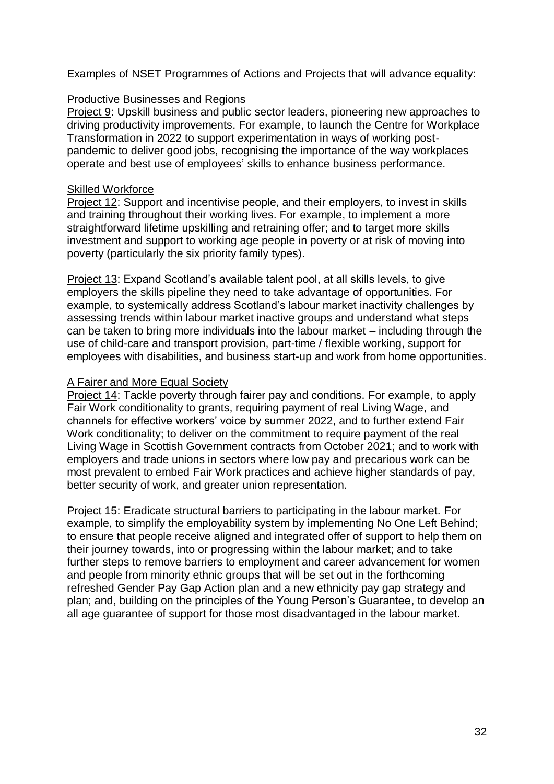Examples of NSET Programmes of Actions and Projects that will advance equality:

#### Productive Businesses and Regions

Project 9: Upskill business and public sector leaders, pioneering new approaches to driving productivity improvements. For example, to launch the Centre for Workplace Transformation in 2022 to support experimentation in ways of working postpandemic to deliver good jobs, recognising the importance of the way workplaces operate and best use of employees' skills to enhance business performance.

#### Skilled Workforce

Project 12: Support and incentivise people, and their employers, to invest in skills and training throughout their working lives. For example, to implement a more straightforward lifetime upskilling and retraining offer; and to target more skills investment and support to working age people in poverty or at risk of moving into poverty (particularly the six priority family types).

Project 13: Expand Scotland's available talent pool, at all skills levels, to give employers the skills pipeline they need to take advantage of opportunities. For example, to systemically address Scotland's labour market inactivity challenges by assessing trends within labour market inactive groups and understand what steps can be taken to bring more individuals into the labour market – including through the use of child-care and transport provision, part-time / flexible working, support for employees with disabilities, and business start-up and work from home opportunities.

#### A Fairer and More Equal Society

Project 14: Tackle poverty through fairer pay and conditions. For example, to apply Fair Work conditionality to grants, requiring payment of real Living Wage, and channels for effective workers' voice by summer 2022, and to further extend Fair Work conditionality; to deliver on the commitment to require payment of the real Living Wage in Scottish Government contracts from October 2021; and to work with employers and trade unions in sectors where low pay and precarious work can be most prevalent to embed Fair Work practices and achieve higher standards of pay, better security of work, and greater union representation.

<span id="page-32-0"></span>Project 15: Eradicate structural barriers to participating in the labour market. For example, to simplify the employability system by implementing No One Left Behind; to ensure that people receive aligned and integrated offer of support to help them on their journey towards, into or progressing within the labour market; and to take further steps to remove barriers to employment and career advancement for women and people from minority ethnic groups that will be set out in the forthcoming refreshed Gender Pay Gap Action plan and a new ethnicity pay gap strategy and plan; and, building on the principles of the Young Person's Guarantee, to develop an all age guarantee of support for those most disadvantaged in the labour market.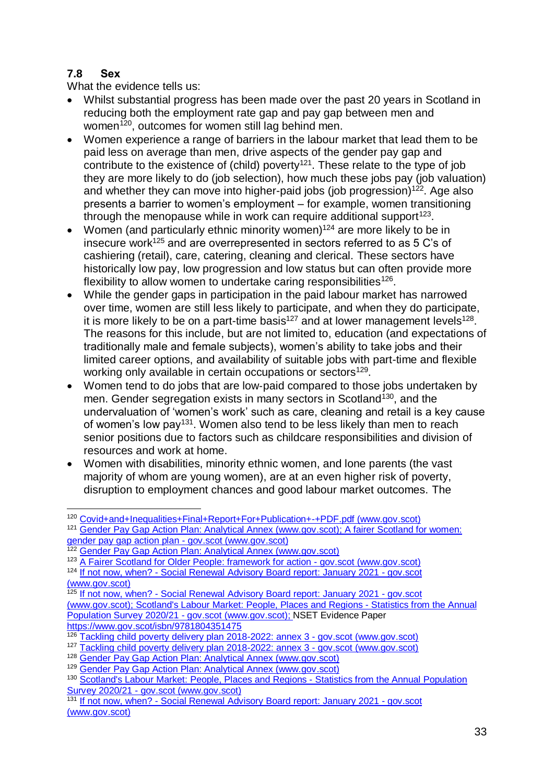#### **7.8 Sex**

What the evidence tells us:

- Whilst substantial progress has been made over the past 20 years in Scotland in reducing both the employment rate gap and pay gap between men and women<sup>120</sup>, outcomes for women still lag behind men.
- Women experience a range of barriers in the labour market that lead them to be paid less on average than men, drive aspects of the gender pay gap and contribute to the existence of (child) poverty<sup>121</sup>. These relate to the type of job they are more likely to do (job selection), how much these jobs pay (job valuation) and whether they can move into higher-paid jobs (job progression)<sup>122</sup>. Age also presents a barrier to women's employment – for example, women transitioning through the menopause while in work can require additional support $123$ .
- Women (and particularly ethnic minority women) $124$  are more likely to be in insecure work<sup>125</sup> and are overrepresented in sectors referred to as 5 C's of cashiering (retail), care, catering, cleaning and clerical. These sectors have historically low pay, low progression and low status but can often provide more flexibility to allow women to undertake caring responsibilities<sup>126</sup>.
- While the gender gaps in participation in the paid labour market has narrowed over time, women are still less likely to participate, and when they do participate, it is more likely to be on a part-time basis<sup>127</sup> and at lower management levels<sup>128</sup>. The reasons for this include, but are not limited to, education (and expectations of traditionally male and female subjects), women's ability to take jobs and their limited career options, and availability of suitable jobs with part-time and flexible working only available in certain occupations or sectors<sup>129</sup>.
- Women tend to do jobs that are low‐paid compared to those jobs undertaken by men. Gender segregation exists in many sectors in Scotland<sup>130</sup>, and the undervaluation of 'women's work' such as care, cleaning and retail is a key cause of women's low pay<sup>131</sup>. Women also tend to be less likely than men to reach senior positions due to factors such as childcare responsibilities and division of resources and work at home.
- Women with disabilities, minority ethnic women, and lone parents (the vast majority of whom are young women), are at an even higher risk of poverty, disruption to employment chances and good labour market outcomes. The

<sup>1</sup> 120 [Covid+and+Inequalities+Final+Report+For+Publication+-+PDF.pdf \(www.gov.scot\)](https://www.gov.scot/binaries/content/documents/govscot/publications/research-and-analysis/2020/09/the-impacts-of-covid-19-on-equality-in-scotland/documents/full-report/full-report/govscot%3Adocument/Covid%2Band%2BInequalities%2BFinal%2BReport%2BFor%2BPublication%2B-%2BPDF.pdf?forceDownload=true)

<sup>&</sup>lt;sup>121</sup> [Gender Pay Gap Action Plan: Analytical Annex \(www.gov.scot\);](https://www.gov.scot/binaries/content/documents/govscot/publications/strategy-plan/2019/03/fairer-scotland-women-gender-pay-gap-action-plan/documents/analytical-annex/analytical-annex/govscot%3Adocument/analytical-annex.pdf?forceDownload=true) A fairer Scotland for women: [gender pay gap action plan -](https://www.gov.scot/publications/fairer-scotland-women-gender-pay-gap-action-plan/) gov.scot (www.gov.scot)

<sup>122</sup> [Gender Pay Gap Action Plan: Analytical Annex \(www.gov.scot\)](https://www.gov.scot/binaries/content/documents/govscot/publications/strategy-plan/2019/03/fairer-scotland-women-gender-pay-gap-action-plan/documents/analytical-annex/analytical-annex/govscot%3Adocument/analytical-annex.pdf?forceDownload=true)

<sup>&</sup>lt;sup>123</sup> [A Fairer Scotland for Older People: framework for action -](https://www.gov.scot/publications/fairer-scotland-older-people-framework-action/) gov.scot (www.gov.scot)

<sup>&</sup>lt;sup>124</sup> If not now, when? - [Social Renewal Advisory Board report: January 2021 -](https://www.gov.scot/publications/not-now-social-renewal-advisory-board-report-january-2021/documents/) gov.scot [\(www.gov.scot\)](https://www.gov.scot/publications/not-now-social-renewal-advisory-board-report-january-2021/documents/)

<sup>&</sup>lt;sup>125</sup> If not now, when? - [Social Renewal Advisory Board report: January 2021 -](https://www.gov.scot/publications/not-now-social-renewal-advisory-board-report-january-2021/documents/) gov.scot [\(www.gov.scot\);](https://www.gov.scot/publications/not-now-social-renewal-advisory-board-report-january-2021/documents/) [Scotland's Labour Market: People, Places and Regions -](https://www.gov.scot/publications/scotlands-labour-market-people-places-regions-statistics-annual-population-survey-2020-21/pages/5/) Statistics from the Annual [Population Survey 2020/21 -](https://www.gov.scot/publications/scotlands-labour-market-people-places-regions-statistics-annual-population-survey-2020-21/pages/5/) gov.scot (www.gov.scot); NSET Evidence Paper <https://www.gov.scot/isbn/9781804351475>

<sup>126</sup> [Tackling child poverty delivery plan 2018-2022: annex 3 -](https://www.gov.scot/publications/tackling-child-poverty-delivery-plan-2018-22-annex-3-equality/) gov.scot (www.gov.scot)

<sup>127</sup> [Tackling child poverty delivery plan 2018-2022: annex 3 -](https://www.gov.scot/publications/tackling-child-poverty-delivery-plan-2018-22-annex-3-equality/) gov.scot (www.gov.scot)

<sup>128</sup> [Gender Pay Gap Action Plan: Analytical Annex \(www.gov.scot\)](https://www.gov.scot/binaries/content/documents/govscot/publications/strategy-plan/2019/03/fairer-scotland-women-gender-pay-gap-action-plan/documents/analytical-annex/analytical-annex/govscot%3Adocument/analytical-annex.pdf?forceDownload=true)

<sup>129</sup> [Gender Pay Gap Action Plan: Analytical Annex \(www.gov.scot\)](https://www.gov.scot/binaries/content/documents/govscot/publications/strategy-plan/2019/03/fairer-scotland-women-gender-pay-gap-action-plan/documents/analytical-annex/analytical-annex/govscot%3Adocument/analytical-annex.pdf?forceDownload=true)

<sup>130</sup> [Scotland's Labour Market: People, Places and Regions -](https://www.gov.scot/publications/scotlands-labour-market-people-places-regions-statistics-annual-population-survey-2020-21/pages/5/) Statistics from the Annual Population Survey 2020/21 - [gov.scot \(www.gov.scot\)](https://www.gov.scot/publications/scotlands-labour-market-people-places-regions-statistics-annual-population-survey-2020-21/pages/5/)

<sup>&</sup>lt;sup>131</sup> If not now, when? - [Social Renewal Advisory Board report: January 2021 -](https://www.gov.scot/publications/not-now-social-renewal-advisory-board-report-january-2021/) gov.scot [\(www.gov.scot\)](https://www.gov.scot/publications/not-now-social-renewal-advisory-board-report-january-2021/)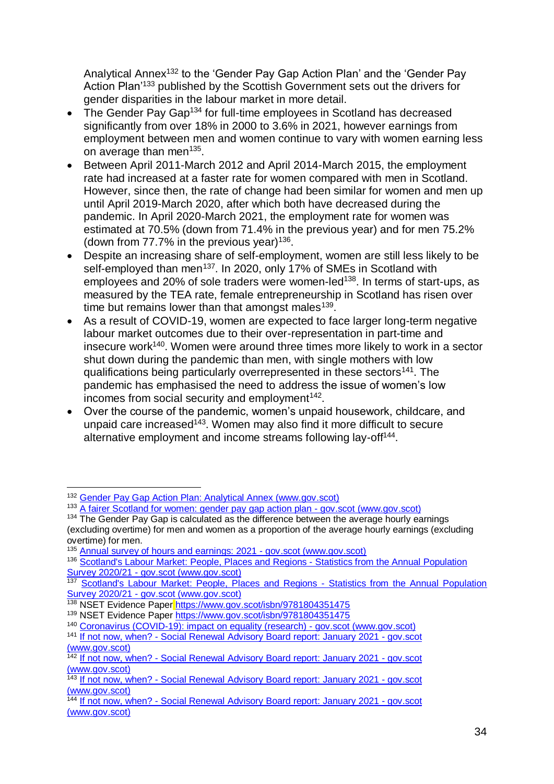Analytical Annex<sup>132</sup> to the 'Gender Pay Gap Action Plan' and the 'Gender Pay Action Plan<sup>'133</sup> published by the Scottish Government sets out the drivers for gender disparities in the labour market in more detail.

- The Gender Pay Gap<sup>134</sup> for full-time employees in Scotland has decreased significantly from over 18% in 2000 to 3.6% in 2021, however earnings from employment between men and women continue to vary with women earning less on average than men<sup>135</sup>.
- Between April 2011-March 2012 and April 2014-March 2015, the employment rate had increased at a faster rate for women compared with men in Scotland. However, since then, the rate of change had been similar for women and men up until April 2019-March 2020, after which both have decreased during the pandemic. In April 2020-March 2021, the employment rate for women was estimated at 70.5% (down from 71.4% in the previous year) and for men 75.2% (down from  $77.7\%$  in the previous year)<sup>136</sup>.
- Despite an increasing share of self-employment, women are still less likely to be self-employed than men<sup>137</sup>. In 2020, only 17% of SMEs in Scotland with employees and 20% of sole traders were women-led<sup>138</sup>. In terms of start-ups, as measured by the TEA rate, female entrepreneurship in Scotland has risen over time but remains lower than that amongst males<sup>139</sup>.
- As a result of COVID-19, women are expected to face larger long-term negative labour market outcomes due to their over-representation in part-time and insecure work<sup>140</sup>. Women were around three times more likely to work in a sector shut down during the pandemic than men, with single mothers with low qualifications being particularly overrepresented in these sectors<sup>141</sup>. The pandemic has emphasised the need to address the issue of women's low incomes from social security and employment $142$ .
- Over the course of the pandemic, women's unpaid housework, childcare, and unpaid care increased<sup> $143$ </sup>. Women may also find it more difficult to secure alternative employment and income streams following lay-off<sup>144</sup>.

<u>.</u>

<sup>141</sup> If not now, when? - [Social Renewal Advisory Board report: January 2021 -](https://www.gov.scot/publications/not-now-social-renewal-advisory-board-report-january-2021/) gov.scot [\(www.gov.scot\)](https://www.gov.scot/publications/not-now-social-renewal-advisory-board-report-january-2021/)

<sup>132</sup> [Gender Pay Gap Action Plan: Analytical Annex \(www.gov.scot\)](https://www.gov.scot/binaries/content/documents/govscot/publications/strategy-plan/2019/03/fairer-scotland-women-gender-pay-gap-action-plan/documents/analytical-annex/analytical-annex/govscot%3Adocument/analytical-annex.pdf?forceDownload=true)

<sup>133</sup> [A fairer Scotland for women: gender pay gap action plan -](https://www.gov.scot/publications/fairer-scotland-women-gender-pay-gap-action-plan/) gov.scot (www.gov.scot)

<sup>&</sup>lt;sup>134</sup> The Gender Pay Gap is calculated as the difference between the average hourly earnings (excluding overtime) for men and women as a proportion of the average hourly earnings (excluding overtime) for men.

<sup>135</sup> [Annual survey of hours and earnings: 2021 -](https://www.gov.scot/publications/annual-survey-of-hours-and-earnings-2021/) gov.scot (www.gov.scot)

<sup>136</sup> [Scotland's Labour Market: People, Places and Regions -](https://www.gov.scot/publications/scotlands-labour-market-people-places-regions-statistics-annual-population-survey-2020-21/documents/) Statistics from the Annual Population Survey 2020/21 - [gov.scot \(www.gov.scot\)](https://www.gov.scot/publications/scotlands-labour-market-people-places-regions-statistics-annual-population-survey-2020-21/documents/)

<sup>137</sup> [Scotland's Labour Market: People, Places and Regions -](https://www.gov.scot/publications/scotlands-labour-market-people-places-regions-statistics-annual-population-survey-2020-21/pages/5/) Statistics from the Annual Population Survey 2020/21 - [gov.scot \(www.gov.scot\)](https://www.gov.scot/publications/scotlands-labour-market-people-places-regions-statistics-annual-population-survey-2020-21/pages/5/)

<sup>&</sup>lt;sup>138</sup> NSET Evidence Paper <https://www.gov.scot/isbn/9781804351475>

<sup>139</sup> NSET Evidence Paper <https://www.gov.scot/isbn/9781804351475>

<sup>140</sup> [Coronavirus \(COVID-19\): impact on equality \(research\) -](https://www.gov.scot/publications/the-impacts-of-covid-19-on-equality-in-scotland/) gov.scot (www.gov.scot)

<sup>142</sup> If not now, when? - [Social Renewal Advisory Board report: January 2021 -](https://www.gov.scot/publications/not-now-social-renewal-advisory-board-report-january-2021/) gov.scot [\(www.gov.scot\)](https://www.gov.scot/publications/not-now-social-renewal-advisory-board-report-january-2021/)

<sup>143</sup> If not now, when? - [Social Renewal Advisory Board report: January 2021 -](https://www.gov.scot/publications/not-now-social-renewal-advisory-board-report-january-2021/) gov.scot [\(www.gov.scot\)](https://www.gov.scot/publications/not-now-social-renewal-advisory-board-report-january-2021/)

<sup>144</sup> If not now, when? - [Social Renewal Advisory Board report: January 2021 -](https://www.gov.scot/publications/not-now-social-renewal-advisory-board-report-january-2021/) gov.scot [\(www.gov.scot\)](https://www.gov.scot/publications/not-now-social-renewal-advisory-board-report-january-2021/)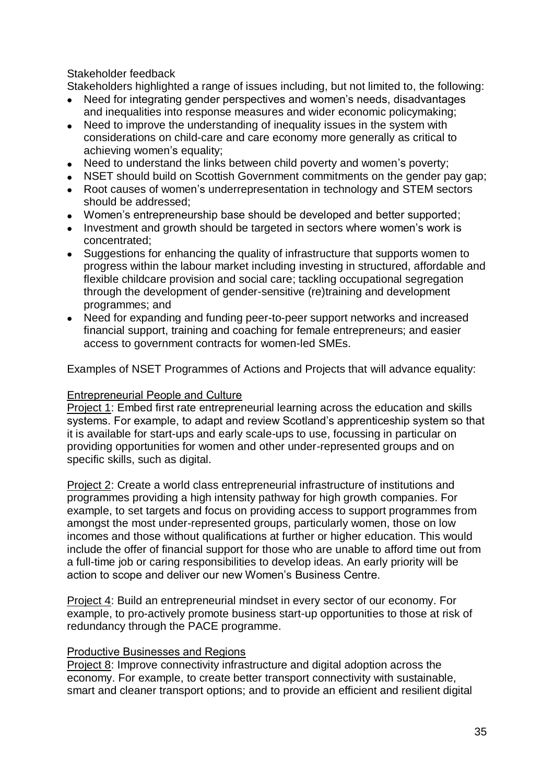#### Stakeholder feedback

Stakeholders highlighted a range of issues including, but not limited to, the following:

- Need for integrating gender perspectives and women's needs, disadvantages and inequalities into response measures and wider economic policymaking;
- Need to improve the understanding of inequality issues in the system with considerations on child-care and care economy more generally as critical to achieving women's equality;
- Need to understand the links between child poverty and women's poverty;
- NSET should build on Scottish Government commitments on the gender pay gap;
- Root causes of women's underrepresentation in technology and STEM sectors should be addressed;
- Women's entrepreneurship base should be developed and better supported;
- Investment and growth should be targeted in sectors where women's work is concentrated;
- Suggestions for enhancing the quality of infrastructure that supports women to progress within the labour market including investing in structured, affordable and flexible childcare provision and social care; tackling occupational segregation through the development of gender-sensitive (re)training and development programmes; and
- Need for expanding and funding peer-to-peer support networks and increased financial support, training and coaching for female entrepreneurs; and easier access to government contracts for women-led SMEs.

Examples of NSET Programmes of Actions and Projects that will advance equality:

#### Entrepreneurial People and Culture

Project 1: Embed first rate entrepreneurial learning across the education and skills systems. For example, to adapt and review Scotland's apprenticeship system so that it is available for start-ups and early scale-ups to use, focussing in particular on providing opportunities for women and other under-represented groups and on specific skills, such as digital.

Project 2: Create a world class entrepreneurial infrastructure of institutions and programmes providing a high intensity pathway for high growth companies. For example, to set targets and focus on providing access to support programmes from amongst the most under-represented groups, particularly women, those on low incomes and those without qualifications at further or higher education. This would include the offer of financial support for those who are unable to afford time out from a full-time job or caring responsibilities to develop ideas. An early priority will be action to scope and deliver our new Women's Business Centre.

Project 4: Build an entrepreneurial mindset in every sector of our economy. For example, to pro-actively promote business start-up opportunities to those at risk of redundancy through the PACE programme.

#### Productive Businesses and Regions

Project 8: Improve connectivity infrastructure and digital adoption across the economy. For example, to create better transport connectivity with sustainable, smart and cleaner transport options; and to provide an efficient and resilient digital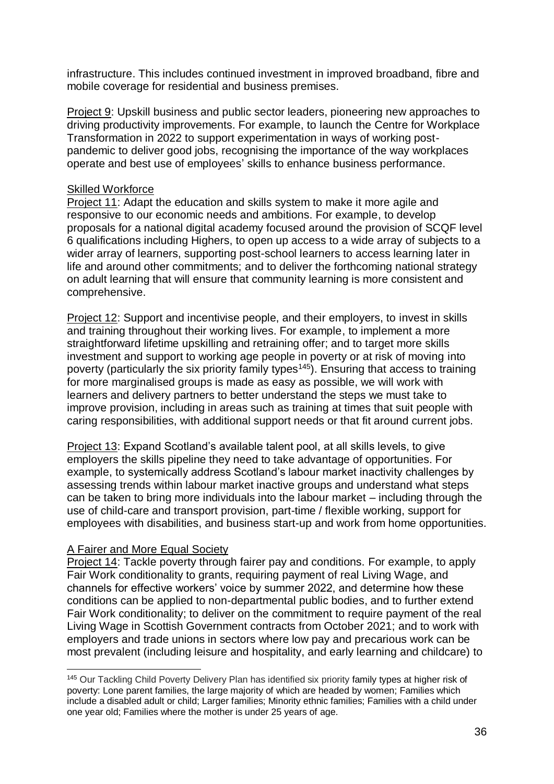infrastructure. This includes continued investment in improved broadband, fibre and mobile coverage for residential and business premises.

Project 9: Upskill business and public sector leaders, pioneering new approaches to driving productivity improvements. For example, to launch the Centre for Workplace Transformation in 2022 to support experimentation in ways of working postpandemic to deliver good jobs, recognising the importance of the way workplaces operate and best use of employees' skills to enhance business performance.

#### Skilled Workforce

Project 11: Adapt the education and skills system to make it more agile and responsive to our economic needs and ambitions. For example, to develop proposals for a national digital academy focused around the provision of SCQF level 6 qualifications including Highers, to open up access to a wide array of subjects to a wider array of learners, supporting post-school learners to access learning later in life and around other commitments; and to deliver the forthcoming national strategy on adult learning that will ensure that community learning is more consistent and comprehensive.

Project 12: Support and incentivise people, and their employers, to invest in skills and training throughout their working lives. For example, to implement a more straightforward lifetime upskilling and retraining offer; and to target more skills investment and support to working age people in poverty or at risk of moving into poverty (particularly the six priority family types<sup>145</sup>). Ensuring that access to training for more marginalised groups is made as easy as possible, we will work with learners and delivery partners to better understand the steps we must take to improve provision, including in areas such as training at times that suit people with caring responsibilities, with additional support needs or that fit around current jobs.

Project 13: Expand Scotland's available talent pool, at all skills levels, to give employers the skills pipeline they need to take advantage of opportunities. For example, to systemically address Scotland's labour market inactivity challenges by assessing trends within labour market inactive groups and understand what steps can be taken to bring more individuals into the labour market – including through the use of child-care and transport provision, part-time / flexible working, support for employees with disabilities, and business start-up and work from home opportunities.

#### A Fairer and More Equal Society

<u>.</u>

Project 14: Tackle poverty through fairer pay and conditions. For example, to apply Fair Work conditionality to grants, requiring payment of real Living Wage, and channels for effective workers' voice by summer 2022, and determine how these conditions can be applied to non-departmental public bodies, and to further extend Fair Work conditionality; to deliver on the commitment to require payment of the real Living Wage in Scottish Government contracts from October 2021; and to work with employers and trade unions in sectors where low pay and precarious work can be most prevalent (including leisure and hospitality, and early learning and childcare) to

<sup>&</sup>lt;sup>145</sup> Our Tackling Child Poverty Delivery Plan has identified six priority family types at higher risk of poverty: Lone parent families, the large majority of which are headed by women; Families which include a disabled adult or child; Larger families; Minority ethnic families; Families with a child under one year old; Families where the mother is under 25 years of age.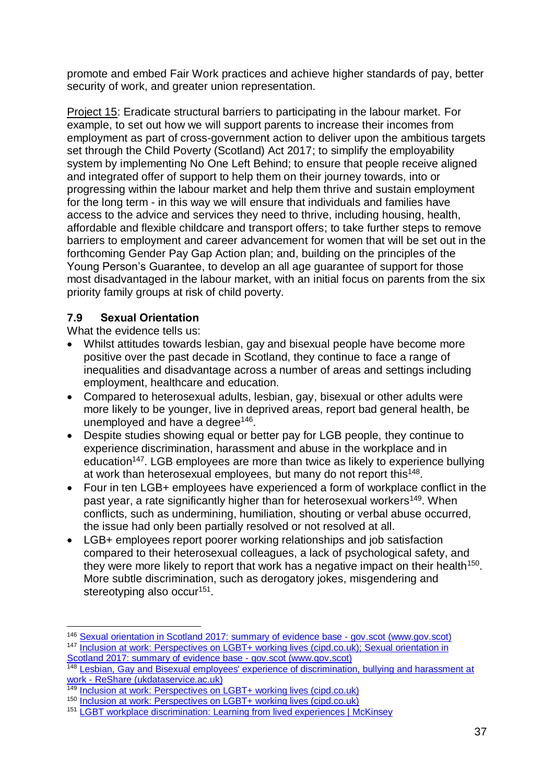promote and embed Fair Work practices and achieve higher standards of pay, better security of work, and greater union representation.

Project 15: Eradicate structural barriers to participating in the labour market. For example, to set out how we will support parents to increase their incomes from employment as part of cross-government action to deliver upon the ambitious targets set through the Child Poverty (Scotland) Act 2017; to simplify the employability system by implementing No One Left Behind; to ensure that people receive aligned and integrated offer of support to help them on their journey towards, into or progressing within the labour market and help them thrive and sustain employment for the long term - in this way we will ensure that individuals and families have access to the advice and services they need to thrive, including housing, health, affordable and flexible childcare and transport offers; to take further steps to remove barriers to employment and career advancement for women that will be set out in the forthcoming Gender Pay Gap Action plan; and, building on the principles of the Young Person's Guarantee, to develop an all age guarantee of support for those most disadvantaged in the labour market, with an initial focus on parents from the six priority family groups at risk of child poverty.

#### <span id="page-37-0"></span>**7.9 Sexual Orientation**

What the evidence tells us:

- Whilst attitudes towards lesbian, gay and bisexual people have become more positive over the past decade in Scotland, they continue to face a range of inequalities and disadvantage across a number of areas and settings including employment, healthcare and education.
- Compared to heterosexual adults, lesbian, gay, bisexual or other adults were more likely to be younger, live in deprived areas, report bad general health, be unemployed and have a degree<sup>146</sup>.
- Despite studies showing equal or better pay for LGB people, they continue to experience discrimination, harassment and abuse in the workplace and in education<sup>147</sup>. LGB employees are more than twice as likely to experience bullying at work than heterosexual employees, but many do not report this<sup>148</sup>.
- Four in ten LGB+ employees have experienced a form of workplace conflict in the past year, a rate significantly higher than for heterosexual workers<sup>149</sup>. When conflicts, such as undermining, humiliation, shouting or verbal abuse occurred, the issue had only been partially resolved or not resolved at all.
- LGB+ employees report poorer working relationships and job satisfaction compared to their heterosexual colleagues, a lack of psychological safety, and they were more likely to report that work has a negative impact on their health<sup>150</sup>. More subtle discrimination, such as derogatory jokes, misgendering and stereotyping also occur<sup>151</sup>.

<sup>&</sup>lt;u>.</u> <sup>146</sup> [Sexual orientation in Scotland 2017: summary of evidence base -](https://www.gov.scot/publications/sexual-orientation-scotland-2017-summary-evidence-base/) gov.scot (www.gov.scot) <sup>147</sup> [Inclusion at work: Perspectives on LGBT+ working lives \(cipd.co.uk\);](https://www.cipd.co.uk/Images/inclusion-work-perspectives-report_tcm18-90359.pdf) [Sexual orientation in](https://www.gov.scot/publications/sexual-orientation-scotland-2017-summary-evidence-base/)  [Scotland 2017: summary of evidence base -](https://www.gov.scot/publications/sexual-orientation-scotland-2017-summary-evidence-base/) gov.scot (www.gov.scot)

<sup>&</sup>lt;sup>148</sup> Lesbian, Gay and Bisexual employees' experience of discrimination, bullying and harassment at work - [ReShare \(ukdataservice.ac.uk\)](https://reshare.ukdataservice.ac.uk/851358/)

<sup>149</sup> [Inclusion at work: Perspectives on LGBT+ working lives \(cipd.co.uk\)](https://www.cipd.co.uk/Images/inclusion-work-perspectives-report_tcm18-90359.pdf)

<sup>150</sup> [Inclusion at work: Perspectives on LGBT+ working lives \(cipd.co.uk\)](https://www.cipd.co.uk/Images/inclusion-work-perspectives-report_tcm18-90359.pdf)

<sup>151</sup> [LGBT workplace discrimination: Learning from lived experiences | McKinsey](https://www.mckinsey.com/business-functions/people-and-organizational-performance/our-insights/lgbtq-plus-voices-learning-from-lived-experiences)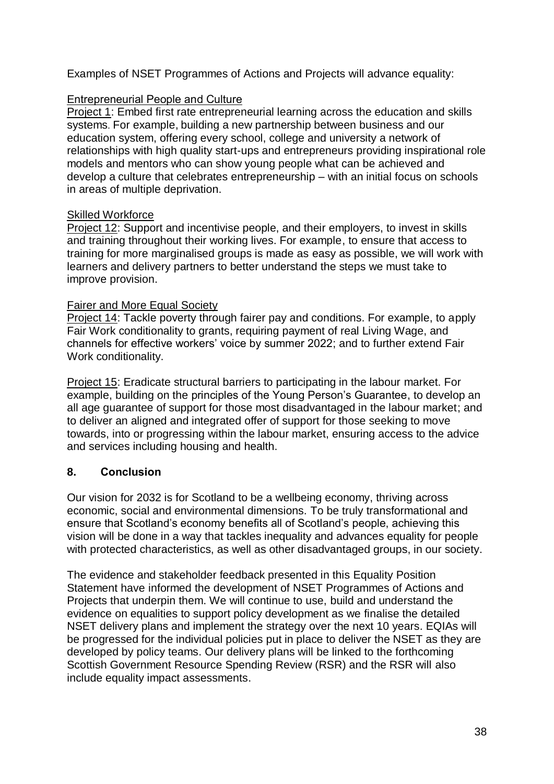Examples of NSET Programmes of Actions and Projects will advance equality:

#### Entrepreneurial People and Culture

Project 1: Embed first rate entrepreneurial learning across the education and skills systems. For example, building a new partnership between business and our education system, offering every school, college and university a network of relationships with high quality start-ups and entrepreneurs providing inspirational role models and mentors who can show young people what can be achieved and develop a culture that celebrates entrepreneurship – with an initial focus on schools in areas of multiple deprivation.

#### Skilled Workforce

Project 12: Support and incentivise people, and their employers, to invest in skills and training throughout their working lives. For example, to ensure that access to training for more marginalised groups is made as easy as possible, we will work with learners and delivery partners to better understand the steps we must take to improve provision.

#### Fairer and More Equal Society

Project 14: Tackle poverty through fairer pay and conditions. For example, to apply Fair Work conditionality to grants, requiring payment of real Living Wage, and channels for effective workers' voice by summer 2022; and to further extend Fair Work conditionality.

Project 15: Eradicate structural barriers to participating in the labour market. For example, building on the principles of the Young Person's Guarantee, to develop an all age guarantee of support for those most disadvantaged in the labour market; and to deliver an aligned and integrated offer of support for those seeking to move towards, into or progressing within the labour market, ensuring access to the advice and services including housing and health.

#### <span id="page-38-0"></span>**8. Conclusion**

Our vision for 2032 is for Scotland to be a wellbeing economy, thriving across economic, social and environmental dimensions. To be truly transformational and ensure that Scotland's economy benefits all of Scotland's people, achieving this vision will be done in a way that tackles inequality and advances equality for people with protected characteristics, as well as other disadvantaged groups, in our society.

The evidence and stakeholder feedback presented in this Equality Position Statement have informed the development of NSET Programmes of Actions and Projects that underpin them. We will continue to use, build and understand the evidence on equalities to support policy development as we finalise the detailed NSET delivery plans and implement the strategy over the next 10 years. EQIAs will be progressed for the individual policies put in place to deliver the NSET as they are developed by policy teams. Our delivery plans will be linked to the forthcoming Scottish Government Resource Spending Review (RSR) and the RSR will also include equality impact assessments.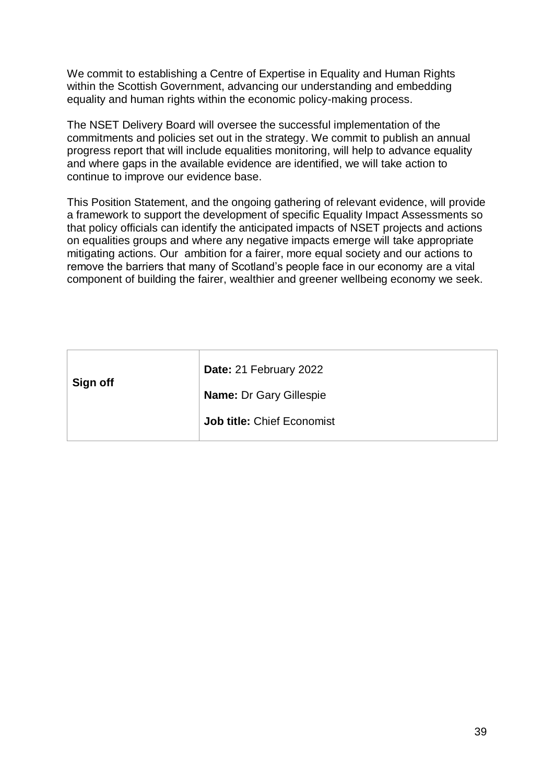We commit to establishing a Centre of Expertise in Equality and Human Rights within the Scottish Government, advancing our understanding and embedding equality and human rights within the economic policy-making process.

The NSET Delivery Board will oversee the successful implementation of the commitments and policies set out in the strategy. We commit to publish an annual progress report that will include equalities monitoring, will help to advance equality and where gaps in the available evidence are identified, we will take action to continue to improve our evidence base.

This Position Statement, and the ongoing gathering of relevant evidence, will provide a framework to support the development of specific Equality Impact Assessments so that policy officials can identify the anticipated impacts of NSET projects and actions on equalities groups and where any negative impacts emerge will take appropriate mitigating actions. Our ambition for a fairer, more equal society and our actions to remove the barriers that many of Scotland's people face in our economy are a vital component of building the fairer, wealthier and greener wellbeing economy we seek.

| Date: 21 February 2022         |
|--------------------------------|
| <b>Name: Dr Gary Gillespie</b> |
| Job title: Chief Economist     |
|                                |